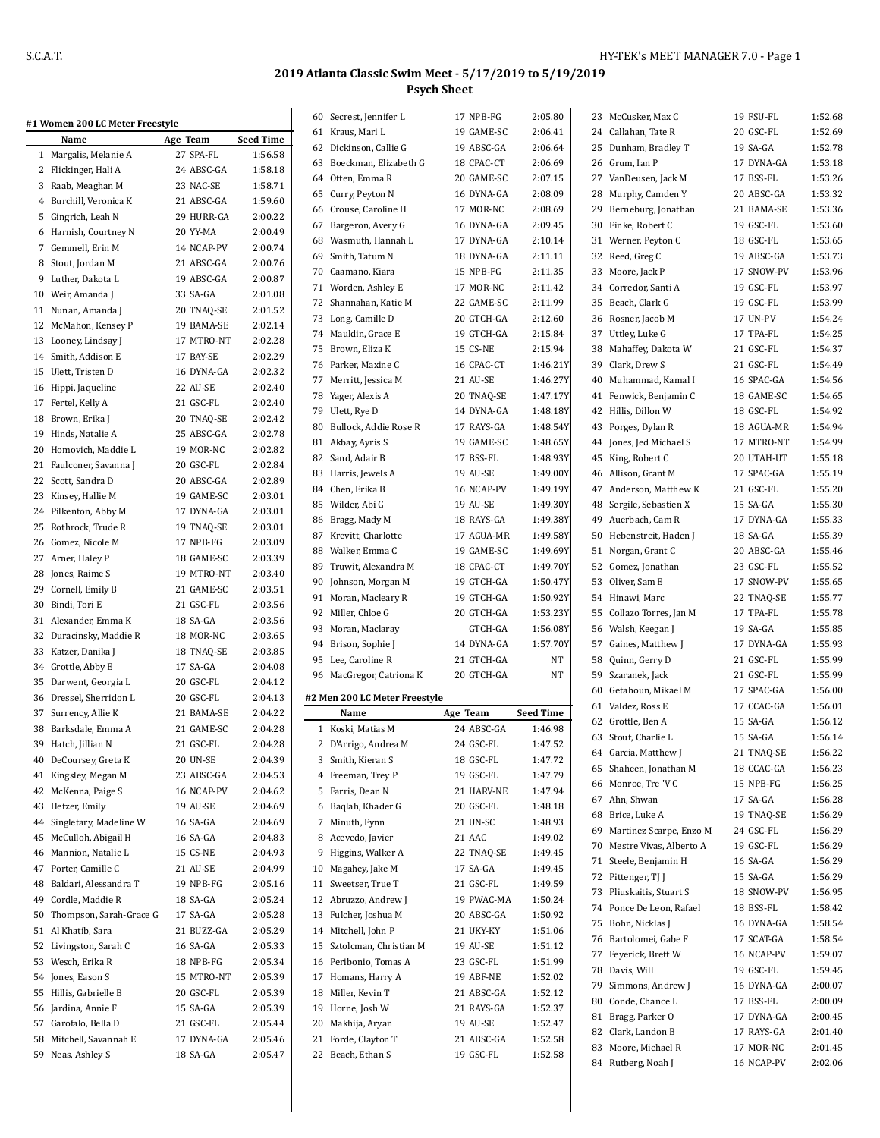### **2019 Atlanta Classic Swim Meet - 5/17/2019 to 5/19/2019 Psych Sheet**

| #1 Women 200 LC Meter Freestyle |                 |                  | 60 Secrest, Jennifer L        | 17 NPB-FG  | 2:05.80          |    | 23 McCusker, Max C         | 19 FSU-FL  | 1:52.68 |
|---------------------------------|-----------------|------------------|-------------------------------|------------|------------------|----|----------------------------|------------|---------|
| Name                            | Age Team        | <b>Seed Time</b> | 61 Kraus, Mari L              | 19 GAME-SC | 2:06.41          |    | 24 Callahan, Tate R        | 20 GSC-FL  | 1:52.69 |
| 1 Margalis, Melanie A           | 27 SPA-FL       | 1:56.58          | 62 Dickinson, Callie G        | 19 ABSC-GA | 2:06.64          |    | 25 Dunham, Bradley T       | 19 SA-GA   | 1:52.78 |
| 2 Flickinger, Hali A            | 24 ABSC-GA      | 1:58.18          | 63 Boeckman, Elizabeth G      | 18 CPAC-CT | 2:06.69          |    | 26 Grum, Ian P             | 17 DYNA-GA | 1:53.18 |
| 3 Raab, Meaghan M               | 23 NAC-SE       | 1:58.71          | 64 Otten, Emma R              | 20 GAME-SC | 2:07.15          |    | 27 VanDeusen, Jack M       | 17 BSS-FL  | 1:53.26 |
| 4 Burchill, Veronica K          |                 | 1:59.60          | 65 Curry, Peyton N            | 16 DYNA-GA | 2:08.09          |    | 28 Murphy, Camden Y        | 20 ABSC-GA | 1:53.32 |
|                                 | 21 ABSC-GA      |                  | 66 Crouse, Caroline H         | 17 MOR-NC  | 2:08.69          |    | 29 Berneburg, Jonathan     | 21 BAMA-SE | 1:53.36 |
| 5 Gingrich, Leah N              | 29 HURR-GA      | 2:00.22          | 67 Bargeron, Avery G          | 16 DYNA-GA | 2:09.45          |    | 30 Finke, Robert C         | 19 GSC-FL  | 1:53.60 |
| 6 Harnish, Courtney N           | 20 YY-MA        | 2:00.49          | 68 Wasmuth, Hannah L          | 17 DYNA-GA | 2:10.14          |    | 31 Werner, Peyton C        | 18 GSC-FL  | 1:53.65 |
| 7 Gemmell, Erin M               | 14 NCAP-PV      | 2:00.74          | 69 Smith, Tatum N             | 18 DYNA-GA | 2:11.11          |    | 32 Reed, Greg C            | 19 ABSC-GA | 1:53.73 |
| 8 Stout, Jordan M               | 21 ABSC-GA      | 2:00.76          | 70 Caamano, Kiara             | 15 NPB-FG  | 2:11.35          |    | 33 Moore, Jack P           | 17 SNOW-PV | 1:53.96 |
| 9 Luther, Dakota L              | 19 ABSC-GA      | 2:00.87          | 71 Worden, Ashley E           | 17 MOR-NC  | 2:11.42          |    | 34 Corredor, Santi A       | 19 GSC-FL  | 1:53.97 |
| 10 Weir, Amanda J               | 33 SA-GA        | 2:01.08          | 72 Shannahan, Katie M         | 22 GAME-SC | 2:11.99          |    | 35 Beach, Clark G          | 19 GSC-FL  | 1:53.99 |
| 11 Nunan, Amanda J              | 20 TNAQ-SE      | 2:01.52          | 73 Long, Camille D            | 20 GTCH-GA | 2:12.60          |    | 36 Rosner, Jacob M         | 17 UN-PV   | 1:54.24 |
| 12 McMahon, Kensey P            | 19 BAMA-SE      | 2:02.14          | 74 Mauldin, Grace E           | 19 GTCH-GA | 2:15.84          |    | 37 Uttley, Luke G          | 17 TPA-FL  | 1:54.25 |
| 13 Looney, Lindsay J            | 17 MTRO-NT      | 2:02.28          |                               |            | 2:15.94          |    |                            |            | 1:54.37 |
| 14 Smith, Addison E             | 17 BAY-SE       | 2:02.29          | 75 Brown, Eliza K             | 15 CS-NE   |                  |    | 38 Mahaffey, Dakota W      | 21 GSC-FL  |         |
| 15 Ulett, Tristen D             | 16 DYNA-GA      | 2:02.32          | 76 Parker, Maxine C           | 16 CPAC-CT | 1:46.21Y         |    | 39 Clark, Drew S           | 21 GSC-FL  | 1:54.49 |
| 16 Hippi, Jaqueline             | 22 AU-SE        | 2:02.40          | 77 Merritt, Jessica M         | 21 AU-SE   | 1:46.27Y         |    | 40 Muhammad, Kamal I       | 16 SPAC-GA | 1:54.56 |
| 17 Fertel, Kelly A              | 21 GSC-FL       | 2:02.40          | 78 Yager, Alexis A            | 20 TNAQ-SE | 1:47.17Y         |    | 41 Fenwick, Benjamin C     | 18 GAME-SC | 1:54.65 |
| 18 Brown, Erika J               | 20 TNAQ-SE      | 2:02.42          | 79 Ulett, Rye D               | 14 DYNA-GA | 1:48.18Y         |    | 42 Hillis, Dillon W        | 18 GSC-FL  | 1:54.92 |
| 19 Hinds, Natalie A             | 25 ABSC-GA      | 2:02.78          | 80 Bullock, Addie Rose R      | 17 RAYS-GA | 1:48.54Y         |    | 43 Porges, Dylan R         | 18 AGUA-MR | 1:54.94 |
| 20 Homovich, Maddie L           | 19 MOR-NC       | 2:02.82          | 81 Akbay, Ayris S             | 19 GAME-SC | 1:48.65Y         |    | 44 Jones, Jed Michael S    | 17 MTRO-NT | 1:54.99 |
| 21 Faulconer, Savanna J         | 20 GSC-FL       | 2:02.84          | 82 Sand, Adair B              | 17 BSS-FL  | 1:48.93Y         |    | 45 King, Robert C          | 20 UTAH-UT | 1:55.18 |
| 22 Scott, Sandra D              | 20 ABSC-GA      | 2:02.89          | 83 Harris, Jewels A           | 19 AU-SE   | 1:49.00Y         |    | 46 Allison, Grant M        | 17 SPAC-GA | 1:55.19 |
|                                 | 19 GAME-SC      |                  | 84 Chen, Erika B              | 16 NCAP-PV | 1:49.19Y         |    | 47 Anderson, Matthew K     | 21 GSC-FL  | 1:55.20 |
| 23 Kinsey, Hallie M             |                 | 2:03.01          | 85 Wilder, Abi G              | 19 AU-SE   | 1:49.30Y         |    | 48 Sergile, Sebastien X    | 15 SA-GA   | 1:55.30 |
| 24 Pilkenton, Abby M            | 17 DYNA-GA      | 2:03.01          | 86 Bragg, Mady M              | 18 RAYS-GA | 1:49.38Y         |    | 49 Auerbach, Cam R         | 17 DYNA-GA | 1:55.33 |
| 25 Rothrock, Trude R            | 19 TNAQ-SE      | 2:03.01          | 87 Krevitt, Charlotte         | 17 AGUA-MR | 1:49.58Y         |    | 50 Hebenstreit, Haden J    | 18 SA-GA   | 1:55.39 |
| 26 Gomez, Nicole M              | 17 NPB-FG       | 2:03.09          | 88 Walker, Emma C             | 19 GAME-SC | 1:49.69Y         |    | 51 Norgan, Grant C         | 20 ABSC-GA | 1:55.46 |
| 27 Arner, Haley P               | 18 GAME-SC      | 2:03.39          | 89 Truwit, Alexandra M        | 18 CPAC-CT | 1:49.70Y         |    | 52 Gomez, Jonathan         | 23 GSC-FL  | 1:55.52 |
| 28 Jones, Raime S               | 19 MTRO-NT      | 2:03.40          | 90 Johnson, Morgan M          | 19 GTCH-GA | 1:50.47Y         |    | 53 Oliver, Sam E           | 17 SNOW-PV | 1:55.65 |
| 29 Cornell, Emily B             | 21 GAME-SC      | 2:03.51          | 91 Moran, Macleary R          | 19 GTCH-GA | 1:50.92Y         |    | 54 Hinawi, Marc            | 22 TNAQ-SE | 1:55.77 |
| 30 Bindi, Tori E                | 21 GSC-FL       | 2:03.56          | 92 Miller, Chloe G            | 20 GTCH-GA | 1:53.23Y         |    | 55 Collazo Torres, Jan M   | 17 TPA-FL  | 1:55.78 |
| 31 Alexander, Emma K            | 18 SA-GA        | 2:03.56          | 93 Moran, Maclaray            | GTCH-GA    | 1:56.08Y         |    | 56 Walsh, Keegan J         | 19 SA-GA   | 1:55.85 |
| 32 Duracinsky, Maddie R         | 18 MOR-NC       | 2:03.65          |                               |            |                  |    |                            |            | 1:55.93 |
| 33 Katzer, Danika J             | 18 TNAQ-SE      | 2:03.85          | 94 Brison, Sophie J           | 14 DYNA-GA | 1:57.70Y         |    | 57 Gaines, Matthew J       | 17 DYNA-GA |         |
| 34 Grottle, Abby E              | 17 SA-GA        | 2:04.08          | 95 Lee, Caroline R            | 21 GTCH-GA | NT               | 58 | Quinn, Gerry D             | 21 GSC-FL  | 1:55.99 |
| 35 Darwent, Georgia L           | 20 GSC-FL       | 2:04.12          | 96 MacGregor, Catriona K      | 20 GTCH-GA | NT               |    | 59 Szaranek, Jack          | 21 GSC-FL  | 1:55.99 |
| 36 Dressel, Sherridon L         | 20 GSC-FL       | 2:04.13          | #2 Men 200 LC Meter Freestyle |            |                  |    | 60 Getahoun, Mikael M      | 17 SPAC-GA | 1:56.00 |
| 37 Surrency, Allie K            | 21 BAMA-SE      | 2:04.22          | Name                          | Age Team   | <b>Seed Time</b> |    | 61 Valdez, Ross E          | 17 CCAC-GA | 1:56.01 |
| 38 Barksdale, Emma A            | 21 GAME-SC      | 2:04.28          | 1 Koski, Matias M             | 24 ABSC-GA | 1:46.98          |    | 62 Grottle, Ben A          | 15 SA-GA   | 1:56.12 |
| 39 Hatch, Jillian N             | 21 GSC-FL       | 2:04.28          | 2 D'Arrigo, Andrea M          | 24 GSC-FL  | 1:47.52          |    | 63 Stout, Charlie L        | 15 SA-GA   | 1:56.14 |
| 40 DeCoursey, Greta K           | <b>20 UN-SE</b> | 2:04.39          | 3 Smith, Kieran S             | 18 GSC-FL  | 1:47.72          |    | 64 Garcia, Matthew J       | 21 TNAQ-SE | 1:56.22 |
| 41 Kingsley, Megan M            | 23 ABSC-GA      | 2:04.53          | 4 Freeman, Trey P             | 19 GSC-FL  | 1:47.79          |    | 65 Shaheen, Jonathan M     | 18 CCAC-GA | 1:56.23 |
| 42 McKenna, Paige S             | 16 NCAP-PV      | 2:04.62          | 5 Farris, Dean N              | 21 HARV-NE | 1:47.94          |    | 66 Monroe, Tre 'V C        | 15 NPB-FG  | 1:56.25 |
| 43 Hetzer, Emily                | 19 AU-SE        | 2:04.69          | 6 Baqlah, Khader G            | 20 GSC-FL  | 1:48.18          |    | 67 Ahn, Shwan              | 17 SA-GA   | 1:56.28 |
|                                 |                 |                  |                               |            |                  |    | 68 Brice, Luke A           | 19 TNAQ-SE | 1:56.29 |
| 44 Singletary, Madeline W       | 16 SA-GA        | 2:04.69          | 7 Minuth, Fynn                | 21 UN-SC   | 1:48.93          |    | 69 Martinez Scarpe, Enzo M | 24 GSC-FL  | 1:56.29 |
| 45 McCulloh, Abigail H          | 16 SA-GA        | 2:04.83          | 8 Acevedo, Javier             | 21 AAC     | 1:49.02          |    | 70 Mestre Vivas, Alberto A | 19 GSC-FL  | 1:56.29 |
| 46 Mannion, Natalie L           | 15 CS-NE        | 2:04.93          | 9 Higgins, Walker A           | 22 TNAQ-SE | 1:49.45          |    | 71 Steele, Benjamin H      | 16 SA-GA   | 1:56.29 |
| 47 Porter, Camille C            | 21 AU-SE        | 2:04.99          | 10 Magahey, Jake M            | 17 SA-GA   | 1:49.45          |    | 72 Pittenger, TJ J         | 15 SA-GA   | 1:56.29 |
| 48 Baldari, Alessandra T        | 19 NPB-FG       | 2:05.16          | 11 Sweetser, True T           | 21 GSC-FL  | 1:49.59          |    | 73 Pliuskaitis, Stuart S   | 18 SNOW-PV | 1:56.95 |
| 49 Cordle, Maddie R             | 18 SA-GA        | 2:05.24          | 12 Abruzzo, Andrew J          | 19 PWAC-MA | 1:50.24          |    | 74 Ponce De Leon, Rafael   | 18 BSS-FL  | 1:58.42 |
| 50 Thompson, Sarah-Grace G      | 17 SA-GA        | 2:05.28          | 13 Fulcher, Joshua M          | 20 ABSC-GA | 1:50.92          |    | 75 Bohn, Nicklas J         | 16 DYNA-GA | 1:58.54 |
| 51 Al Khatib, Sara              | 21 BUZZ-GA      | 2:05.29          | 14 Mitchell, John P           | 21 UKY-KY  | 1:51.06          |    | 76 Bartolomei, Gabe F      | 17 SCAT-GA | 1:58.54 |
| 52 Livingston, Sarah C          | 16 SA-GA        | 2:05.33          | 15 Sztolcman, Christian M     | 19 AU-SE   | 1:51.12          |    |                            |            | 1:59.07 |
| 53 Wesch, Erika R               | 18 NPB-FG       | 2:05.34          | 16 Peribonio, Tomas A         | 23 GSC-FL  | 1:51.99          |    | 77 Feyerick, Brett W       | 16 NCAP-PV |         |
| 54 Jones, Eason S               | 15 MTRO-NT      | 2:05.39          | 17 Homans, Harry A            | 19 ABF-NE  | 1:52.02          |    | 78 Davis, Will             | 19 GSC-FL  | 1:59.45 |
| 55 Hillis, Gabrielle B          | 20 GSC-FL       | 2:05.39          | 18 Miller, Kevin T            | 21 ABSC-GA | 1:52.12          |    | 79 Simmons, Andrew J       | 16 DYNA-GA | 2:00.07 |
| 56 Jardina, Annie F             | 15 SA-GA        | 2:05.39          | 19 Horne, Josh W              | 21 RAYS-GA | 1:52.37          |    | 80 Conde, Chance L         | 17 BSS-FL  | 2:00.09 |
| 57 Garofalo, Bella D            | 21 GSC-FL       | 2:05.44          | 20 Makhija, Aryan             | 19 AU-SE   | 1:52.47          |    | 81 Bragg, Parker O         | 17 DYNA-GA | 2:00.45 |
| 58 Mitchell, Savannah E         | 17 DYNA-GA      | 2:05.46          | 21 Forde, Clayton T           | 21 ABSC-GA | 1:52.58          |    | 82 Clark, Landon B         | 17 RAYS-GA | 2:01.40 |
| 59 Neas, Ashley S               | 18 SA-GA        | 2:05.47          | 22 Beach, Ethan S             | 19 GSC-FL  | 1:52.58          |    | 83 Moore, Michael R        | 17 MOR-NC  | 2:01.45 |
|                                 |                 |                  |                               |            |                  |    | 84 Rutberg, Noah J         | 16 NCAP-PV | 2:02.06 |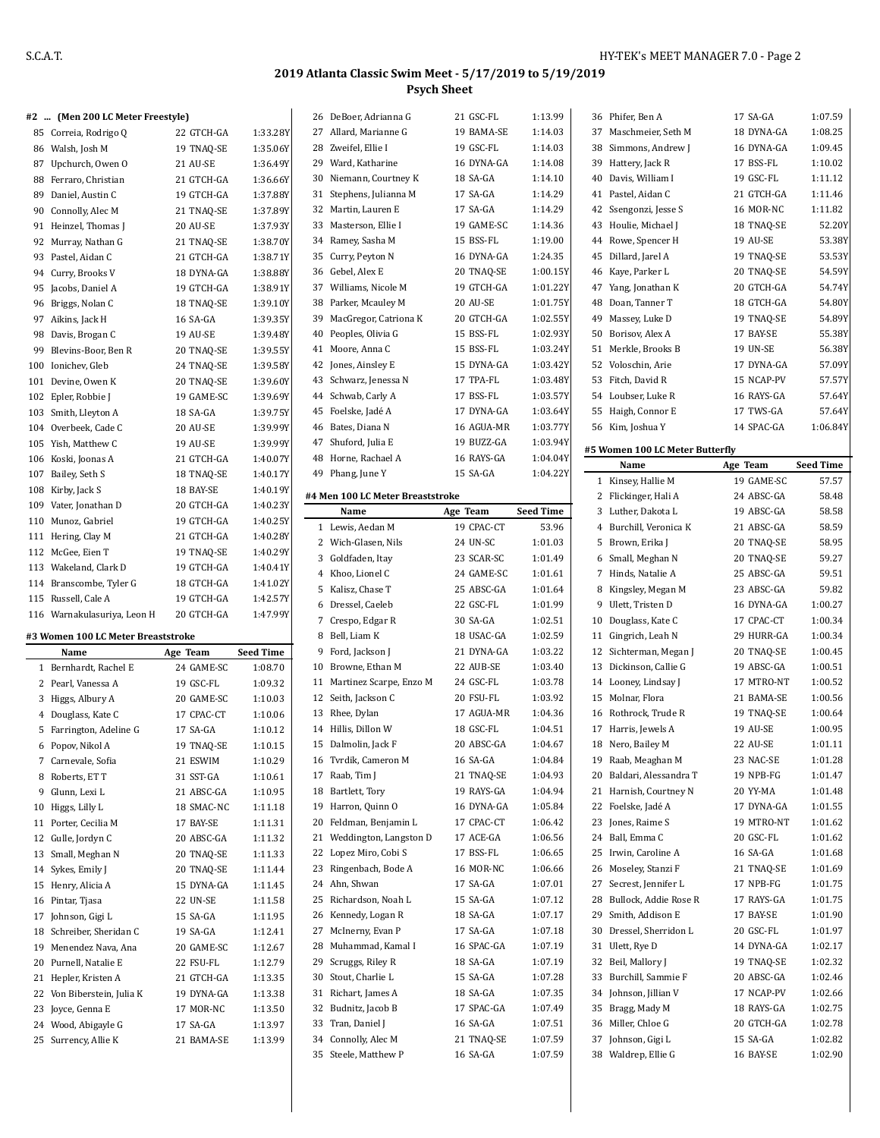### **#2 ... (Men 200 LC Meter Freestyle)**

|     | $\pi$ <sup>2</sup> (Men 200 LC Meter Freestyle) |            |          |
|-----|-------------------------------------------------|------------|----------|
|     | 85 Correia, Rodrigo Q                           | 22 GTCH-GA | 1:33.28Y |
|     | 86 Walsh, Josh M                                | 19 TNAQ-SE | 1:35.06Y |
|     | 87 Upchurch, Owen O                             | 21 AU-SE   | 1:36.49Y |
|     | 88 Ferraro, Christian                           | 21 GTCH-GA | 1:36.66Y |
| 89  | Daniel, Austin C                                | 19 GTCH-GA | 1:37.88Y |
|     | 90 Connolly, Alec M                             | 21 TNAO-SE | 1:37.89Y |
| 91  | Heinzel, Thomas J                               | 20 AU-SE   | 1:37.93Y |
| 92  | Murray, Nathan G                                | 21 TNAQ-SE | 1:38.70Y |
|     | 93 Pastel, Aidan C                              | 21 GTCH-GA | 1:38.71Y |
|     | 94 Curry, Brooks V                              | 18 DYNA-GA | 1:38.88Y |
| 95  | Jacobs, Daniel A                                | 19 GTCH-GA | 1:38.91Y |
|     | 96 Briggs, Nolan C                              | 18 TNAQ-SE | 1:39.10Y |
| 97  | Aikins, Jack H                                  | 16 SA-GA   | 1:39.35Y |
| 98  | Davis, Brogan C                                 | 19 AU-SE   | 1:39.48Y |
|     | 99 Blevins-Boor, Ben R                          | 20 TNAO-SE | 1:39.55Y |
|     | 100 Ionichev, Gleb                              | 24 TNAQ-SE | 1:39.58Y |
|     | 101 Devine, Owen K                              | 20 TNAQ-SE | 1:39.60Y |
|     | 102 Epler, Robbie J                             | 19 GAME-SC | 1:39.69Y |
|     | 103 Smith, Lleyton A                            | 18 SA-GA   | 1:39.75Y |
|     | 104 Overbeek, Cade C                            | 20 AU-SE   | 1:39.99Y |
|     | 105 Yish, Matthew C                             | 19 AU-SE   | 1:39.99Y |
|     | 106 Koski, Joonas A                             | 21 GTCH-GA | 1:40.07Y |
|     | 107 Bailey, Seth S                              | 18 TNAO-SE | 1:40.17Y |
|     | 108 Kirby, Jack S                               | 18 BAY-SE  | 1:40.19Y |
|     | 109 Vater, Jonathan D                           | 20 GTCH-GA | 1:40.23Y |
|     | 110 Munoz, Gabriel                              | 19 GTCH-GA | 1:40.25Y |
| 111 | Hering, Clay M                                  | 21 GTCH-GA | 1:40.28Y |
|     | 112 McGee, Eien T                               | 19 TNAO-SE | 1:40.29Y |
|     | 113 Wakeland, Clark D                           | 19 GTCH-GA | 1:40.41Y |
|     | 114 Branscombe, Tyler G                         | 18 GTCH-GA | 1:41.02Y |
|     | 115 Russell, Cale A                             | 19 GTCH-GA | 1:42.57Y |
|     | 116 Warnakulasuriya, Leon H                     | 20 GTCH-GA | 1:47.99Y |

#### **#3 Women 100 LC Meter Breaststroke**

 $\overline{a}$ 

|    | Name                    | Age Team   | <b>Seed Time</b> |
|----|-------------------------|------------|------------------|
| 1  | Bernhardt, Rachel E     | 24 GAME-SC | 1:08.70          |
| 2  | Pearl, Vanessa A        | 19 GSC-FL  | 1:09.32          |
| 3  | Higgs, Albury A         | 20 GAME-SC | 1:10.03          |
| 4  | Douglass, Kate C        | 17 CPAC-CT | 1:10.06          |
| 5  | Farrington, Adeline G   | 17 SA-GA   | 1:10.12          |
| 6  | Popov, Nikol A          | 19 TNAO-SE | 1:10.15          |
| 7  | Carnevale, Sofia        | 21 ESWIM   | 1:10.29          |
| 8  | Roberts, ET T           | 31 SST-GA  | 1:10.61          |
| 9  | Glunn, Lexi L           | 21 ABSC-GA | 1:10.95          |
| 10 | Higgs, Lilly L          | 18 SMAC-NC | 1:11.18          |
| 11 | Porter, Cecilia M       | 17 BAY-SE  | 1:11.31          |
| 12 | Gulle, Jordyn C         | 20 ABSC-GA | 1:11.32          |
| 13 | Small, Meghan N         | 20 TNAO-SE | 1:11.33          |
| 14 | Sykes, Emily J          | 20 TNAO-SE | 1:11.44          |
| 15 | Henry, Alicia A         | 15 DYNA-GA | 1:11.45          |
| 16 | Pintar, Tjasa           | 22 UN-SE   | 1:11.58          |
| 17 | Johnson, Gigi L         | 15 SA-GA   | 1:11.95          |
| 18 | Schreiber, Sheridan C   | 19 SA-GA   | 1:12.41          |
| 19 | Menendez Nava, Ana      | 20 GAME-SC | 1:12.67          |
| 20 | Purnell, Natalie E      | 22 FSU-FL  | 1:12.79          |
| 21 | Hepler, Kristen A       | 21 GTCH-GA | 1:13.35          |
| 22 | Von Biberstein, Julia K | 19 DYNA-GA | 1:13.38          |
| 23 | Joyce, Genna E          | 17 MOR-NC  | 1:13.50          |
| 24 | Wood, Abigayle G        | 17 SA-GA   | 1:13.97          |
| 25 | Surrency, Allie K       | 21 BAMA-SE | 1:13.99          |

| 26 | DeBoer, Adrianna G                       | 21 GSC-FL  | 1:13.99          |
|----|------------------------------------------|------------|------------------|
| 27 | Allard, Marianne G                       | 19 BAMA-SE | 1:14.03          |
| 28 | Zweifel, Ellie I                         | 19 GSC-FL  | 1:14.03          |
|    | 29 Ward, Katharine                       | 16 DYNA-GA | 1:14.08          |
| 30 | Niemann, Courtney K                      | 18 SA-GA   | 1:14.10          |
| 31 | Stephens, Julianna M                     | 17 SA-GA   | 1:14.29          |
| 32 | Martin, Lauren E                         | 17 SA-GA   | 1:14.29          |
| 33 | Masterson, Ellie I                       | 19 GAME-SC | 1:14.36          |
| 34 | Ramey, Sasha M                           | 15 BSS-FL  | 1:19.00          |
| 35 | Curry, Peyton N                          | 16 DYNA-GA | 1:24.35          |
| 36 | Gebel, Alex E                            | 20 TNAQ-SE | 1:00.15Y         |
| 37 | Williams, Nicole M                       | 19 GTCH-GA | 1:01.22Y         |
| 38 | Parker, Mcauley M                        | 20 AU-SE   | 1:01.75Y         |
| 39 | MacGregor, Catriona K                    | 20 GTCH-GA | 1:02.55Y         |
| 40 | Peoples, Olivia G                        | 15 BSS-FL  | 1:02.93Y         |
| 41 | Moore, Anna C                            | 15 BSS-FL  | 1:03.24Y         |
| 42 | Jones, Ainsley E                         | 15 DYNA-GA | 1:03.42Y         |
| 43 | Schwarz, Jenessa N                       | 17 TPA-FL  | 1:03.48Y         |
| 44 | Schwab, Carly A                          | 17 BSS-FL  | 1:03.57Y         |
| 45 | Foelske, Jadé A                          | 17 DYNA-GA | 1:03.64Y         |
| 46 | Bates, Diana N                           | 16 AGUA-MR | 1:03.77Y         |
| 47 | Shuford, Julia E                         | 19 BUZZ-GA | 1:03.94Y         |
| 48 | Horne, Rachael A                         | 16 RAYS-GA | 1:04.04Y         |
| 49 | Phang, June Y                            | 15 SA-GA   | 1:04.22Y         |
|    |                                          |            |                  |
|    | #4 Men 100 LC Meter Breaststroke<br>Name | Age Team   | <b>Seed Time</b> |
| 1  | Lewis, Aedan M                           | 19 CPAC-CT | 53.96            |
| 2  | Wich-Glasen, Nils                        | 24 UN-SC   | 1:01.03          |
| 3  | Goldfaden, Itay                          | 23 SCAR-SC | 1:01.49          |
| 4  | Khoo, Lionel C                           | 24 GAME-SC | 1:01.61          |
| 5  | Kalisz, Chase T                          | 25 ABSC-GA | 1:01.64          |
| 6  | Dressel, Caeleb                          | 22 GSC-FL  | 1:01.99          |
| 7  | Crespo, Edgar R                          | 30 SA-GA   | 1:02.51          |
| 8  | Bell, Liam K                             | 18 USAC-GA | 1:02.59          |
| 9  | Ford, Jackson J                          | 21 DYNA-GA | 1:03.22          |
| 10 | Browne, Ethan M                          | 22 AUB-SE  | 1:03.40          |
| 11 | Martinez Scarpe, Enzo M                  | 24 GSC-FL  | 1:03.78          |
| 12 | Seith, Jackson C                         | 20 FSU-FL  | 1:03.92          |
| 13 | Rhee, Dylan                              | 17 AGUA-MR | 1:04.36          |
| 14 | Hillis, Dillon W                         | 18 GSC-FL  | 1:04.51          |
|    | 15 Dalmolin, Jack F                      | 20 ABSC-GA | 1:04.67          |
| 16 | Tvrdik, Cameron M                        | 16 SA-GA   | 1:04.84          |
| 17 | Raab, Tim J                              | 21 TNAQ-SE | 1:04.93          |
| 18 | Bartlett, Tory                           | 19 RAYS-GA | 1:04.94          |
| 19 | Harron, Quinn O                          | 16 DYNA-GA | 1:05.84          |
| 20 | Feldman, Benjamin L                      | 17 CPAC-CT | 1:06.42          |
| 21 | Weddington, Langston D                   | 17 ACE-GA  | 1:06.56          |
| 22 | Lopez Miro, Cobi S                       | 17 BSS-FL  | 1:06.65          |
| 23 | Ringenbach, Bode A                       | 16 MOR-NC  | 1:06.66          |
| 24 | Ahn, Shwan                               | 17 SA-GA   | 1:07.01          |
| 25 | Richardson, Noah L                       | 15 SA-GA   | 1:07.12          |
| 26 | Kennedy, Logan R                         | 18 SA-GA   | 1:07.17          |
| 27 | McInerny, Evan P                         | 17 SA-GA   | 1:07.18          |
| 28 | Muhammad, Kamal I                        | 16 SPAC-GA | 1:07.19          |
| 29 | Scruggs, Riley R                         | 18 SA-GA   | 1:07.19          |
| 30 | Stout, Charlie L                         | 15 SA-GA   | 1:07.28          |
| 31 | Richart, James A                         | 18 SA-GA   | 1:07.35          |
| 32 | Budnitz, Jacob B                         | 17 SPAC-GA | 1:07.49          |
| 33 | Tran, Daniel J                           | 16 SA-GA   | 1:07.51          |
| 34 | Connolly, Alec M                         | 21 TNAQ-SE | 1:07.59          |
| 35 | Steele, Matthew P                        | 16 SA-GA   | 1:07.59          |
|    |                                          |            |                  |

|          | 36 Phifer, Ben A                    | 17 SA-GA              | 1:07.59            |
|----------|-------------------------------------|-----------------------|--------------------|
|          | 37 Maschmeier, Seth M               | 18 DYNA-GA            | 1:08.25            |
|          | 38 Simmons, Andrew J                | 16 DYNA-GA            | 1:09.45            |
|          | 39 Hattery, Jack R                  | 17 BSS-FL             | 1:10.02            |
|          | 40 Davis, William I                 | 19 GSC-FL             | 1:11.12            |
|          | 41 Pastel, Aidan C                  | 21 GTCH-GA            | 1:11.46            |
|          | 42 Ssengonzi, Jesse S               | 16 MOR-NC             | 1:11.82            |
|          | 43 Houlie, Michael J                | 18 TNAQ-SE            | 52.20Y             |
|          | 44 Rowe, Spencer H                  | 19 AU-SE              | 53.38Y             |
|          | 45 Dillard, Jarel A                 | 19 TNAQ-SE            | 53.53Y             |
|          | 46 Kaye, Parker L                   | 20 TNAQ-SE            | 54.59Y             |
|          | 47 Yang, Jonathan K                 | 20 GTCH-GA            | 54.74Y             |
|          | 48 Doan, Tanner T                   | 18 GTCH-GA            | 54.80Y             |
|          | 49 Massey, Luke D                   | 19 TNAQ-SE            | 54.89Y             |
|          | 50 Borisov, Alex A                  | 17 BAY-SE             | 55.38Y             |
|          | 51 Merkle, Brooks B                 | 19 UN-SE              | 56.38Y             |
|          | 52 Voloschin, Arie                  | 17 DYNA-GA            | 57.09Y             |
|          | 53 Fitch, David R                   | 15 NCAP-PV            | 57.57Y             |
|          | 54 Loubser, Luke R                  | 16 RAYS-GA            | 57.64Y             |
|          | 55 Haigh, Connor E                  | 17 TWS-GA             | 57.64Y             |
|          | 56 Kim, Joshua Y                    | 14 SPAC-GA            | 1:06.84Y           |
|          |                                     |                       |                    |
|          | #5 Women 100 LC Meter Butterfly     |                       |                    |
|          | Name                                | Age Team              | <b>Seed Time</b>   |
|          | 1 Kinsey, Hallie M                  | 19 GAME-SC            | 57.57              |
|          | 2 Flickinger, Hali A                | 24 ABSC-GA            | 58.48              |
|          | 3 Luther, Dakota L                  | 19 ABSC-GA            | 58.58              |
|          | 4 Burchill, Veronica K              | 21 ABSC-GA            | 58.59              |
|          | 5 Brown, Erika J                    | 20 TNAQ-SE            | 58.95              |
|          | 6 Small, Meghan N                   | 20 TNAQ-SE            | 59.27              |
|          | 7 Hinds, Natalie A                  | 25 ABSC-GA            | 59.51              |
|          | 8 Kingsley, Megan M                 | 23 ABSC-GA            | 59.82              |
|          | 9 Ulett, Tristen D                  | 16 DYNA-GA            | 1:00.27            |
|          |                                     |                       |                    |
|          | 10 Douglass, Kate C                 | 17 CPAC-CT            | 1:00.34            |
| 11       | Gingrich, Leah N                    | 29 HURR-GA            | 1:00.34            |
|          | 12 Sichterman, Megan J              | 20 TNAQ-SE            | 1:00.45            |
|          | 13 Dickinson, Callie G              | 19 ABSC-GA            | 1:00.51            |
|          | 14 Looney, Lindsay J                | 17 MTRO-NT            | 1:00.52            |
|          | 15 Molnar, Flora                    | 21 BAMA-SE            | 1:00.56            |
|          | 16 Rothrock, Trude R                | 19 TNAQ-SE            | 1:00.64            |
|          | 17 Harris, Jewels A                 | 19 AU-SE              | 1:00.95            |
| 18       |                                     | 22 AU-SE              | 1:01.11            |
|          | Nero, Bailey M                      |                       |                    |
| 19       | Raab, Meaghan M                     | 23 NAC-SE             | 1:01.28            |
| 20<br>21 | Baldari, Alessandra T               | 19 NPB-FG<br>20 YY-MA | 1:01.47            |
|          | Harnish, Courtney N                 |                       | 1:01.48            |
| 22       | Foelske, Jadé A                     | 17 DYNA-GA            | 1:01.55            |
| 23       | Jones, Raime S                      | 19 MTRO-NT            | 1:01.62            |
| 24       | Ball, Emma C                        | 20 GSC-FL             | 1:01.62            |
| 25       | Irwin, Caroline A                   | 16 SA-GA              | 1:01.68            |
| 26       | Moseley, Stanzi F                   | 21 TNAQ-SE            | 1:01.69            |
| 27       | Secrest, Jennifer L                 | 17 NPB-FG             | 1:01.75            |
| 28       | Bullock, Addie Rose R               | 17 RAYS-GA            | 1:01.75            |
| 29       | Smith, Addison E                    | 17 BAY-SE             | 1:01.90            |
| 30       | Dressel, Sherridon L                | 20 GSC-FL             | 1:01.97            |
| 31       | Ulett, Rye D                        | 14 DYNA-GA            | 1:02.17            |
| 32       | Beil, Mallory J                     | 19 TNAQ-SE            | 1:02.32            |
| 33       | Burchill, Sammie F                  | 20 ABSC-GA            | 1:02.46            |
| 34       | Johnson, Jillian V                  | 17 NCAP-PV            | 1:02.66            |
| 35       | Bragg, Mady M                       | 18 RAYS-GA            | 1:02.75            |
| 36       | Miller, Chloe G                     | 20 GTCH-GA            | 1:02.78            |
| 37<br>38 | Johnson, Gigi L<br>Waldrep, Ellie G | 15 SA-GA<br>16 BAY-SE | 1:02.82<br>1:02.90 |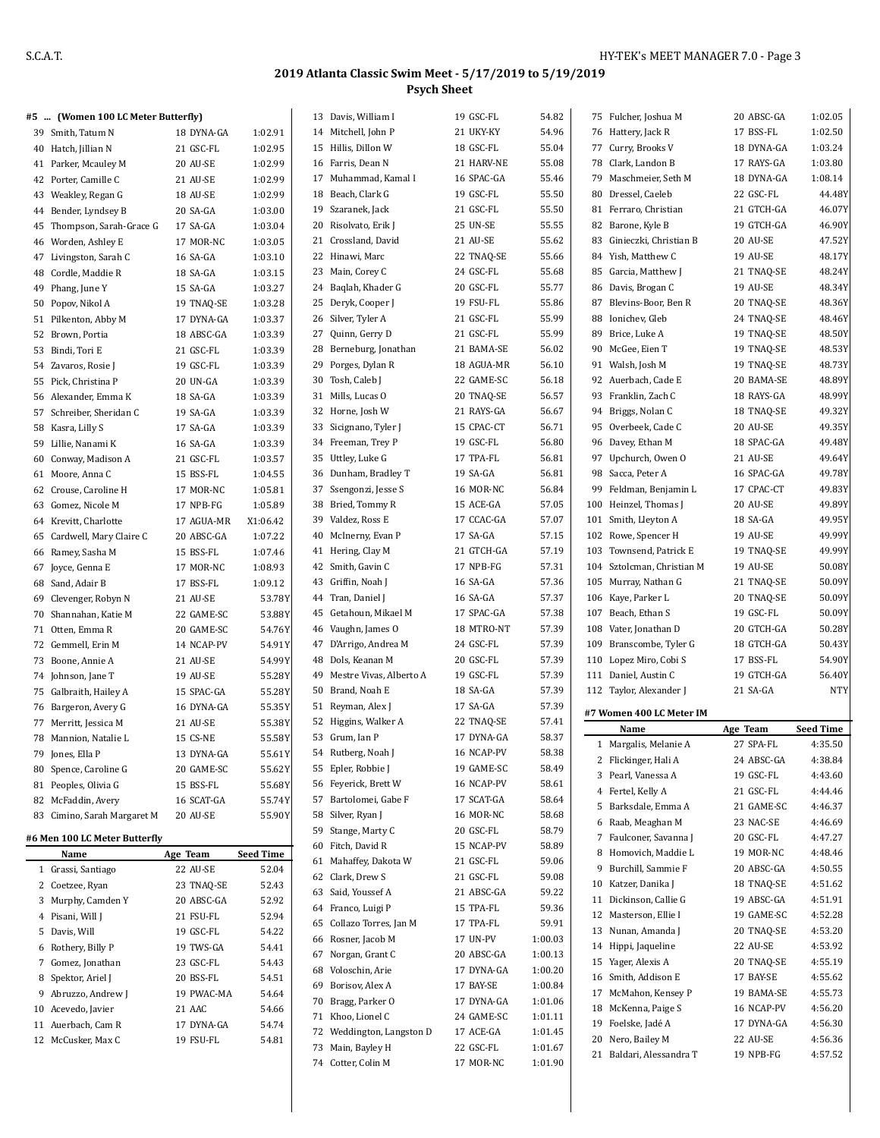|    | #5  (Women 100 LC Meter Butterfly)          |                         |                  | 13 Davis, William I        | 19 GSC-FL        | 54.82   | 75 Fulcher, Joshua M       | 20 ABSC-GA | 1:02.05          |
|----|---------------------------------------------|-------------------------|------------------|----------------------------|------------------|---------|----------------------------|------------|------------------|
|    | 39 Smith, Tatum N                           | 18 DYNA-GA              | 1:02.91          | 14 Mitchell, John P        | 21 UKY-KY        | 54.96   | 76 Hattery, Jack R         | 17 BSS-FL  | 1:02.50          |
|    | 40 Hatch, Jillian N                         | 21 GSC-FL               | 1:02.95          | 15 Hillis, Dillon W        | 18 GSC-FL        | 55.04   | 77 Curry, Brooks V         | 18 DYNA-GA | 1:03.24          |
|    | 41 Parker, Mcauley M                        | 20 AU-SE                | 1:02.99          | 16 Farris, Dean N          | 21 HARV-NE       | 55.08   | 78 Clark, Landon B         | 17 RAYS-GA | 1:03.80          |
|    | 42 Porter, Camille C                        | 21 AU-SE                | 1:02.99          | 17 Muhammad, Kamal I       | 16 SPAC-GA       | 55.46   | 79 Maschmeier, Seth M      | 18 DYNA-GA | 1:08.14          |
|    | 43 Weakley, Regan G                         | 18 AU-SE                | 1:02.99          | 18 Beach, Clark G          | 19 GSC-FL        | 55.50   | 80 Dressel, Caeleb         | 22 GSC-FL  | 44.48Y           |
|    | 44 Bender, Lyndsey B                        | 20 SA-GA                | 1:03.00          | 19 Szaranek, Jack          | 21 GSC-FL        | 55.50   | 81 Ferraro, Christian      | 21 GTCH-GA | 46.07Y           |
|    | 45 Thompson, Sarah-Grace G                  | 17 SA-GA                | 1:03.04          | 20 Risolvato, Erik J       | 25 UN-SE         | 55.55   | 82 Barone, Kyle B          | 19 GTCH-GA | 46.90Y           |
|    | 46 Worden, Ashley E                         | 17 MOR-NC               | 1:03.05          | 21 Crossland, David        | 21 AU-SE         | 55.62   | 83 Ginieczki, Christian B  | 20 AU-SE   | 47.52Y           |
|    | 47 Livingston, Sarah C                      | 16 SA-GA                | 1:03.10          | 22 Hinawi, Marc            | 22 TNAQ-SE       | 55.66   | 84 Yish, Matthew C         | 19 AU-SE   | 48.17Y           |
|    | 48 Cordle, Maddie R                         | 18 SA-GA                | 1:03.15          | 23 Main, Corey C           | 24 GSC-FL        | 55.68   | 85 Garcia, Matthew J       | 21 TNAQ-SE | 48.24Y           |
|    | 49 Phang, June Y                            | 15 SA-GA                | 1:03.27          | 24 Baqlah, Khader G        | 20 GSC-FL        | 55.77   | 86 Davis, Brogan C         | 19 AU-SE   | 48.34Y           |
|    | 50 Popov, Nikol A                           | 19 TNAQ-SE              | 1:03.28          | 25 Deryk, Cooper J         | 19 FSU-FL        | 55.86   | 87 Blevins-Boor, Ben R     | 20 TNAQ-SE | 48.36Y           |
|    | 51 Pilkenton, Abby M                        | 17 DYNA-GA              | 1:03.37          | 26 Silver, Tyler A         | 21 GSC-FL        | 55.99   | 88 Ionichev, Gleb          | 24 TNAQ-SE | 48.46Y           |
|    | 52 Brown, Portia                            | 18 ABSC-GA              | 1:03.39          | 27 Quinn, Gerry D          | 21 GSC-FL        | 55.99   | 89 Brice, Luke A           | 19 TNAQ-SE | 48.50Y           |
|    | 53 Bindi, Tori E                            | 21 GSC-FL               | 1:03.39          | 28 Berneburg, Jonathan     | 21 BAMA-SE       | 56.02   | 90 McGee, Eien T           | 19 TNAQ-SE | 48.53Y           |
|    | 54 Zavaros, Rosie J                         | 19 GSC-FL               | 1:03.39          | 29 Porges, Dylan R         | 18 AGUA-MR       | 56.10   | 91 Walsh, Josh M           | 19 TNAQ-SE | 48.73Y           |
|    | 55 Pick, Christina P                        | 20 UN-GA                | 1:03.39          | 30 Tosh, Caleb J           | 22 GAME-SC       | 56.18   | 92 Auerbach, Cade E        | 20 BAMA-SE | 48.89Y           |
|    | 56 Alexander, Emma K                        | 18 SA-GA                | 1:03.39          | 31 Mills, Lucas O          | 20 TNAQ-SE       | 56.57   | 93 Franklin, Zach C        | 18 RAYS-GA | 48.99Y           |
|    | 57 Schreiber, Sheridan C                    | 19 SA-GA                | 1:03.39          | 32 Horne, Josh W           | 21 RAYS-GA       | 56.67   | 94 Briggs, Nolan C         | 18 TNAQ-SE | 49.32Y           |
|    | 58 Kasra, Lilly S                           | 17 SA-GA                | 1:03.39          | 33 Sicignano, Tyler J      | 15 CPAC-CT       | 56.71   | 95 Overbeek, Cade C        | 20 AU-SE   | 49.35Y           |
|    | 59 Lillie, Nanami K                         | 16 SA-GA                | 1:03.39          | 34 Freeman, Trey P         | 19 GSC-FL        | 56.80   | 96 Davey, Ethan M          | 18 SPAC-GA | 49.48Y           |
|    | 60 Conway, Madison A                        | 21 GSC-FL               | 1:03.57          | 35 Uttley, Luke G          | 17 TPA-FL        | 56.81   | 97 Upchurch, Owen O        | 21 AU-SE   | 49.64Y           |
|    | 61 Moore, Anna C                            | 15 BSS-FL               | 1:04.55          | 36 Dunham, Bradley T       | 19 SA-GA         | 56.81   | 98 Sacca, Peter A          | 16 SPAC-GA | 49.78Y           |
|    | 62 Crouse, Caroline H                       | 17 MOR-NC               | 1:05.81          | 37 Ssengonzi, Jesse S      | <b>16 MOR-NC</b> | 56.84   | 99 Feldman, Benjamin L     | 17 CPAC-CT | 49.83Y           |
|    |                                             |                         | 1:05.89          | 38 Bried, Tommy R          | 15 ACE-GA        | 57.05   | 100 Heinzel, Thomas J      | 20 AU-SE   | 49.89Y           |
|    | 63 Gomez, Nicole M<br>64 Krevitt, Charlotte | 17 NPB-FG<br>17 AGUA-MR | X1:06.42         | 39 Valdez, Ross E          | 17 CCAC-GA       | 57.07   | 101 Smith, Lleyton A       | 18 SA-GA   | 49.95Y           |
|    |                                             |                         | 1:07.22          | 40 McInerny, Evan P        | 17 SA-GA         | 57.15   | 102 Rowe, Spencer H        | 19 AU-SE   | 49.99Y           |
|    | 65 Cardwell, Mary Claire C                  | 20 ABSC-GA              |                  | 41 Hering, Clay M          | 21 GTCH-GA       | 57.19   | 103 Townsend, Patrick E    | 19 TNAQ-SE | 49.99Y           |
|    | 66 Ramey, Sasha M                           | 15 BSS-FL               | 1:07.46          | 42 Smith, Gavin C          | 17 NPB-FG        | 57.31   | 104 Sztolcman, Christian M | 19 AU-SE   | 50.08Y           |
|    | 67 Joyce, Genna E                           | 17 MOR-NC               | 1:08.93          |                            |                  | 57.36   |                            |            | 50.09Y           |
|    | 68 Sand, Adair B                            | 17 BSS-FL               | 1:09.12          | 43 Griffin, Noah J         | 16 SA-GA         | 57.37   | 105 Murray, Nathan G       | 21 TNAQ-SE | 50.09Y           |
|    | 69 Clevenger, Robyn N                       | 21 AU-SE                | 53.78Y           | 44 Tran, Daniel J          | 16 SA-GA         |         | 106 Kaye, Parker L         | 20 TNAQ-SE |                  |
|    | 70 Shannahan, Katie M                       | 22 GAME-SC              | 53.88Y           | 45 Getahoun, Mikael M      | 17 SPAC-GA       | 57.38   | 107 Beach, Ethan S         | 19 GSC-FL  | 50.09Y           |
|    | 71 Otten, Emma R                            | 20 GAME-SC              | 54.76Y           | 46 Vaughn, James O         | 18 MTRO-NT       | 57.39   | 108 Vater, Jonathan D      | 20 GTCH-GA | 50.28Y           |
|    | 72 Gemmell, Erin M                          | 14 NCAP-PV              | 54.91Y           | 47 D'Arrigo, Andrea M      | 24 GSC-FL        | 57.39   | 109 Branscombe, Tyler G    | 18 GTCH-GA | 50.43Y           |
|    | 73 Boone, Annie A                           | 21 AU-SE                | 54.99Y           | 48 Dols, Keanan M          | 20 GSC-FL        | 57.39   | 110 Lopez Miro, Cobi S     | 17 BSS-FL  | 54.90Y           |
|    | 74 Johnson, Jane T                          | 19 AU-SE                | 55.28Y           | 49 Mestre Vivas, Alberto A | 19 GSC-FL        | 57.39   | 111 Daniel, Austin C       | 19 GTCH-GA | 56.40Y           |
|    | 75 Galbraith, Hailey A                      | 15 SPAC-GA              | 55.28Y           | 50 Brand, Noah E           | 18 SA-GA         | 57.39   | 112 Taylor, Alexander J    | 21 SA-GA   | <b>NTY</b>       |
|    | 76 Bargeron, Avery G                        | 16 DYNA-GA              | 55.35Y           | 51 Reyman, Alex J          | 17 SA-GA         | 57.39   | #7 Women 400 LC Meter IM   |            |                  |
|    | 77 Merritt, Jessica M                       | 21 AU-SE                | 55.38Y           | 52 Higgins, Walker A       | 22 TNAQ-SE       | 57.41   | Name                       | Age Team   | <b>Seed Time</b> |
|    | 78 Mannion, Natalie L                       | 15 CS-NE                | 55.58Y           | 53 Grum, Ian P             | 17 DYNA-GA       | 58.37   | 1 Margalis, Melanie A      | 27 SPA-FL  | 4:35.50          |
| 79 | Jones, Ella P                               | 13 DYNA-GA              | 55.61Y           | 54 Rutberg, Noah J         | 16 NCAP-PV       | 58.38   | 2 Flickinger, Hali A       | 24 ABSC-GA | 4:38.84          |
|    | 80 Spence, Caroline G                       | 20 GAME-SC              | 55.62Y           | 55 Epler, Robbie J         | 19 GAME-SC       | 58.49   | 3 Pearl, Vanessa A         | 19 GSC-FL  | 4:43.60          |
|    | 81 Peoples, Olivia G                        | 15 BSS-FL               | 55.68Y           | 56 Feyerick, Brett W       | 16 NCAP-PV       | 58.61   | 4 Fertel, Kelly A          | 21 GSC-FL  | 4:44.46          |
|    | 82 McFaddin, Avery                          | 16 SCAT-GA              | 55.74Y           | 57 Bartolomei, Gabe F      | 17 SCAT-GA       | 58.64   | 5 Barksdale, Emma A        | 21 GAME-SC | 4:46.37          |
|    | 83 Cimino, Sarah Margaret M                 | 20 AU-SE                | 55.90Y           | 58 Silver, Ryan J          | 16 MOR-NC        | 58.68   | 6 Raab, Meaghan M          | 23 NAC-SE  | 4:46.69          |
|    | #6 Men 100 LC Meter Butterfly               |                         |                  | 59 Stange, Marty C         | 20 GSC-FL        | 58.79   | 7 Faulconer, Savanna J     | 20 GSC-FL  | 4:47.27          |
|    | Name                                        | Age Team                | <b>Seed Time</b> | 60 Fitch, David R          | 15 NCAP-PV       | 58.89   | 8 Homovich, Maddie L       | 19 MOR-NC  | 4:48.46          |
|    | 1 Grassi, Santiago                          | 22 AU-SE                | 52.04            | 61 Mahaffey, Dakota W      | 21 GSC-FL        | 59.06   | 9 Burchill, Sammie F       | 20 ABSC-GA | 4:50.55          |
|    | 2 Coetzee, Ryan                             | 23 TNAQ-SE              | 52.43            | 62 Clark, Drew S           | 21 GSC-FL        | 59.08   | 10 Katzer, Danika J        | 18 TNAQ-SE | 4:51.62          |
|    | 3 Murphy, Camden Y                          | 20 ABSC-GA              | 52.92            | 63 Said, Youssef A         | 21 ABSC-GA       | 59.22   | 11 Dickinson, Callie G     | 19 ABSC-GA | 4:51.91          |
|    | 4 Pisani, Will J                            | 21 FSU-FL               | 52.94            | 64 Franco, Luigi P         | 15 TPA-FL        | 59.36   | 12 Masterson, Ellie I      | 19 GAME-SC | 4:52.28          |
|    |                                             |                         |                  | 65 Collazo Torres, Jan M   | 17 TPA-FL        | 59.91   | 13 Nunan, Amanda J         | 20 TNAQ-SE | 4:53.20          |
|    | 5 Davis, Will<br>6 Rothery, Billy P         | 19 GSC-FL               | 54.22            | 66 Rosner, Jacob M         | 17 UN-PV         | 1:00.03 | 14 Hippi, Jaqueline        | 22 AU-SE   | 4:53.92          |
|    |                                             | 19 TWS-GA               | 54.41            | 67 Norgan, Grant C         | 20 ABSC-GA       | 1:00.13 | 15 Yager, Alexis A         | 20 TNAQ-SE | 4:55.19          |
|    | 7 Gomez, Jonathan                           | 23 GSC-FL               | 54.43            | 68 Voloschin, Arie         | 17 DYNA-GA       | 1:00.20 |                            |            |                  |
| 8  | Spektor, Ariel J                            | 20 BSS-FL               | 54.51            | 69 Borisov, Alex A         | 17 BAY-SE        | 1:00.84 | 16 Smith, Addison E        | 17 BAY-SE  | 4:55.62          |
| 9  | Abruzzo, Andrew J                           | 19 PWAC-MA              | 54.64            | 70 Bragg, Parker O         | 17 DYNA-GA       | 1:01.06 | 17 McMahon, Kensey P       | 19 BAMA-SE | 4:55.73          |
|    | 10 Acevedo, Javier                          | 21 AAC                  | 54.66            | 71 Khoo, Lionel C          | 24 GAME-SC       | 1:01.11 | 18 McKenna, Paige S        | 16 NCAP-PV | 4:56.20          |
|    | 11 Auerbach, Cam R                          | 17 DYNA-GA              | 54.74            | 72 Weddington, Langston D  | 17 ACE-GA        | 1:01.45 | 19 Foelske, Jadé A         | 17 DYNA-GA | 4:56.30          |
|    | 12 McCusker, Max C                          | 19 FSU-FL               | 54.81            | 73 Main, Bayley H          | 22 GSC-FL        | 1:01.67 | 20 Nero, Bailey M          | 22 AU-SE   | 4:56.36          |
|    |                                             |                         |                  | 74 Cotter, Colin M         | 17 MOR-NC        | 1:01.90 | 21 Baldari, Alessandra T   | 19 NPB-FG  | 4:57.52          |
|    |                                             |                         |                  |                            |                  |         |                            |            |                  |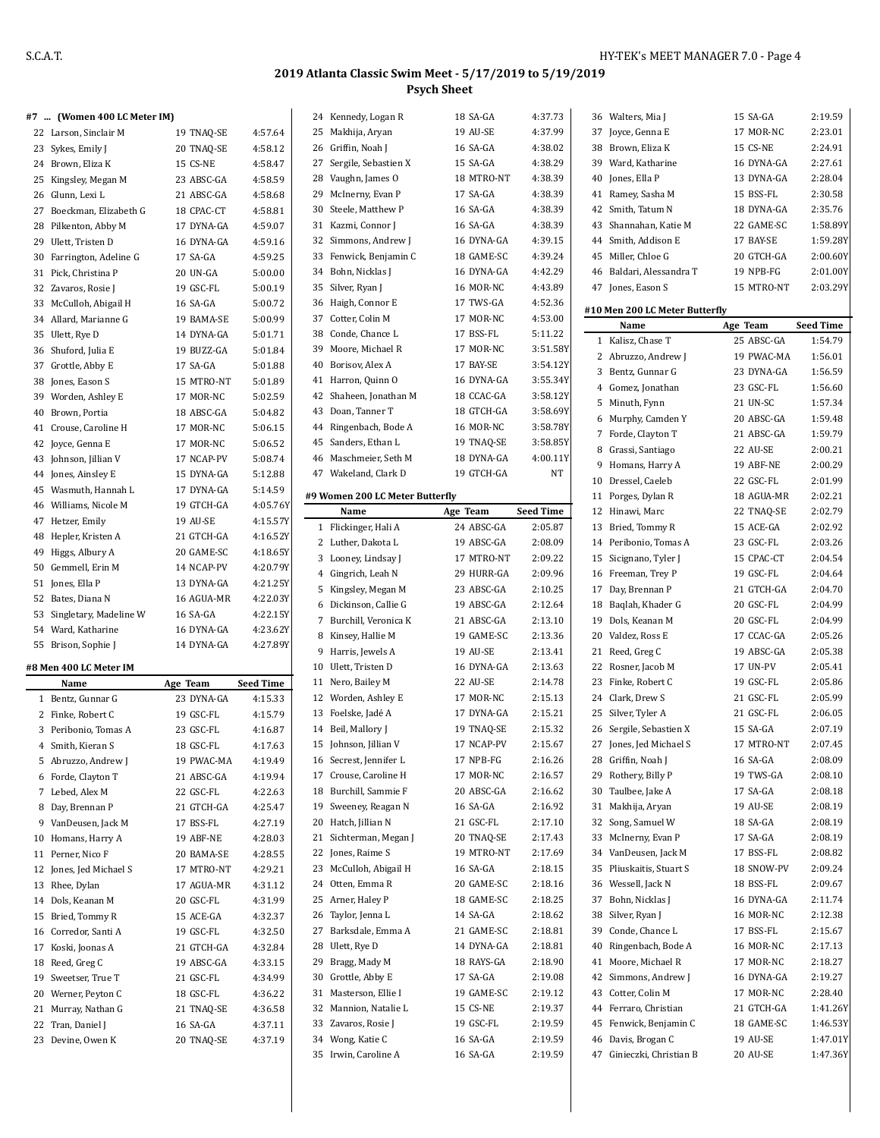#### **#7 ... (Women 400 LC Meter IM)**

|    | #7      (Women 400 LC Meter IM) |            |                  |
|----|---------------------------------|------------|------------------|
|    | 22 Larson, Sinclair M           | 19 TNAQ-SE | 4:57.64          |
|    | 23 Sykes, Emily J               | 20 TNAQ-SE | 4:58.12          |
|    | 24 Brown, Eliza K               | 15 CS-NE   | 4:58.47          |
|    | 25 Kingsley, Megan M            | 23 ABSC-GA | 4:58.59          |
|    | 26 Glunn, Lexi L                | 21 ABSC-GA | 4:58.68          |
|    | 27 Boeckman, Elizabeth G        | 18 CPAC-CT | 4:58.81          |
|    | 28 Pilkenton, Abby M            | 17 DYNA-GA | 4:59.07          |
|    | 29 Ulett, Tristen D             | 16 DYNA-GA | 4:59.16          |
| 30 | Farrington, Adeline G           | 17 SA-GA   | 4:59.25          |
| 31 | Pick, Christina P               | 20 UN-GA   | 5:00.00          |
|    | 32 Zavaros, Rosie J             | 19 GSC-FL  | 5:00.19          |
| 33 | McCulloh, Abigail H             | 16 SA-GA   | 5:00.72          |
|    | 34 Allard, Marianne G           | 19 BAMA-SE | 5:00.99          |
| 35 | Ulett, Rye D                    | 14 DYNA-GA | 5:01.71          |
| 36 | Shuford, Julia E                | 19 BUZZ-GA | 5:01.84          |
| 37 | Grottle, Abby E                 | 17 SA-GA   | 5:01.88          |
|    | 38 Jones, Eason S               | 15 MTRO-NT | 5:01.89          |
|    | 39 Worden, Ashley E             | 17 MOR-NC  | 5:02.59          |
|    | 40 Brown, Portia                | 18 ABSC-GA | 5:04.82          |
| 41 | Crouse, Caroline H              | 17 MOR-NC  | 5:06.15          |
| 42 | Joyce, Genna E                  | 17 MOR-NC  | 5:06.52          |
| 43 | Johnson, Jillian V              | 17 NCAP-PV | 5:08.74          |
|    | 44 Jones, Ainsley E             | 15 DYNA-GA | 5:12.88          |
| 45 | Wasmuth, Hannah L               | 17 DYNA-GA | 5:14.59          |
|    | 46 Williams, Nicole M           | 19 GTCH-GA | 4:05.76Y         |
|    | 47 Hetzer, Emily                | 19 AU-SE   | 4:15.57Y         |
|    | 48 Hepler, Kristen A            | 21 GTCH-GA | 4:16.52Y         |
|    | 49 Higgs, Albury A              | 20 GAME-SC | 4:18.65Y         |
|    | 50 Gemmell, Erin M              | 14 NCAP-PV | 4:20.79Y         |
|    | 51 Jones, Ella P                | 13 DYNA-GA | 4:21.25Y         |
|    | 52 Bates, Diana N               | 16 AGUA-MR | 4:22.03Y         |
|    | 53 Singletary, Madeline W       | 16 SA-GA   | 4:22.15Y         |
|    | 54 Ward, Katharine              | 16 DYNA-GA | 4:23.62Y         |
| 55 | Brison, Sophie J                | 14 DYNA-GA | 4:27.89Y         |
|    |                                 |            |                  |
|    | #8 Men 400 LC Meter IM          |            |                  |
|    | Name                            | Age Team   | <b>Seed Time</b> |
|    | 1 Bentz, Gunnar G               | 23 DYNA-GA | 4:15.33          |
|    | 2 Finke, Robert C               | 19 GSC-FL  | 4:15.79          |
|    | 3 Peribonio, Tomas A            | 23 GSC-FL  | 4:16.87          |
|    | 4 Smith, Kieran S               | 18 GSC-FL  | 4:17.63          |
|    | 5 Abruzzo, Andrew J             | 19 PWAC-MA | 4:19.49          |
|    | 6 Forde, Clayton T              | 21 ABSC-GA | 4:19.94          |
| 7  | Lebed, Alex M                   | 22 GSC-FL  | 4:22.63          |
| 8  | Day, Brennan P                  | 21 GTCH-GA | 4:25.47          |
| 9  | VanDeusen, Jack M               | 17 BSS-FL  | 4:27.19          |
| 10 | Homans, Harry A                 | 19 ABF-NE  | 4:28.03          |
| 11 | Perner, Nico F                  | 20 BAMA-SE | 4:28.55          |
| 12 | Jones, Jed Michael S            | 17 MTRO-NT | 4:29.21          |
| 13 | Rhee, Dylan                     | 17 AGUA-MR | 4:31.12          |
|    | 14 Dols, Keanan M               | 20 GSC-FL  | 4:31.99          |
| 15 | Bried, Tommy R                  | 15 ACE-GA  | 4:32.37          |

 Corredor, Santi A 19 GSC-FL 4:32.50 Koski, Joonas A 21 GTCH-GA 4:32.84 Reed, Greg C 19 ABSC-GA 4:33.15 Sweetser, True T 21 GSC-FL 4:34.99 Werner, Peyton C 18 GSC-FL 4:36.22 21 Murray, Nathan G 21 TNAQ-SE 4:36.58 22 Tran, Daniel J 16 SA-GA 4:37.11 Devine, Owen K 20 TNAQ-SE 4:37.19

|             | 24 Kennedy, Logan R             | 18 SA-GA               | 4:37.73                     |
|-------------|---------------------------------|------------------------|-----------------------------|
| 25          | Makhija, Aryan                  | 19 AU-SE               | 4:37.99                     |
|             | 26 Griffin, Noah J              | 16 SA-GA               | 4:38.02                     |
| 27          | Sergile, Sebastien X            | 15 SA-GA               | 4:38.29                     |
|             | 28 Vaughn, James O              | 18 MTRO-NT             | 4:38.39                     |
| 29          | McInerny, Evan P                | 17 SA-GA               | 4:38.39                     |
| 30          | Steele, Matthew P               | 16 SA-GA               | 4:38.39                     |
| 31          | Kazmi, Connor J                 | 16 SA-GA               | 4:38.39                     |
| 32          | Simmons, Andrew J               | 16 DYNA-GA             | 4:39.15                     |
| 33          | Fenwick, Benjamin C             | 18 GAME-SC             | 4:39.24                     |
| 34          | Bohn, Nicklas J                 | 16 DYNA-GA             | 4:42.29                     |
| 35          | Silver, Ryan J                  | 16 MOR-NC              | 4:43.89                     |
| 36          | Haigh, Connor E                 | 17 TWS-GA              | 4:52.36                     |
| 37          | Cotter, Colin M                 | 17 MOR-NC              | 4:53.00                     |
|             | 38 Conde, Chance L              | 17 BSS-FL              | 5:11.22                     |
| 39          | Moore, Michael R                | 17 MOR-NC              | 3:51.58Y                    |
| 40          | Borisov, Alex A                 | 17 BAY-SE              | 3:54.12Y                    |
| 41          | Harron, Quinn O                 | 16 DYNA-GA             | 3:55.34Y                    |
|             | 42 Shaheen, Jonathan M          | 18 CCAC-GA             | 3:58.12Y                    |
|             | 43 Doan, Tanner T               | 18 GTCH-GA             | 3:58.69Y                    |
|             | 44 Ringenbach, Bode A           | 16 MOR-NC              | 3:58.78Y                    |
|             | 45 Sanders, Ethan L             | 19 TNAQ-SE             | 3:58.85Y                    |
| 46          | Maschmeier, Seth M              | 18 DYNA-GA             | 4:00.11Y                    |
|             | 47 Wakeland, Clark D            | 19 GTCH-GA             | NT                          |
|             |                                 |                        |                             |
|             | #9 Women 200 LC Meter Butterfly |                        |                             |
| 1           | Name<br>Flickinger, Hali A      | Age Team<br>24 ABSC-GA | <b>Seed Time</b><br>2:05.87 |
|             | 2 Luther, Dakota L              | 19 ABSC-GA             | 2:08.09                     |
|             | 3 Looney, Lindsay J             | 17 MTRO-NT             | 2:09.22                     |
|             | 4 Gingrich, Leah N              | 29 HURR-GA             | 2:09.96                     |
| 5           | Kingsley, Megan M               | 23 ABSC-GA             | 2:10.25                     |
| 6           | Dickinson, Callie G             | 19 ABSC-GA             | 2:12.64                     |
| $7^{\circ}$ | Burchill, Veronica K            | 21 ABSC-GA             | 2:13.10                     |
|             | 8 Kinsey, Hallie M              | 19 GAME-SC             | 2:13.36                     |
| 9           | Harris, Jewels A                | 19 AU-SE               | 2:13.41                     |
| 10          | Ulett, Tristen D                | 16 DYNA-GA             | 2:13.63                     |
| 11          | Nero, Bailey M                  | 22 AU-SE               | 2:14.78                     |
|             | 12 Worden, Ashley E             | 17 MOR-NC              | 2:15.13                     |
| 13          | Foelske, Jadé A                 | 17 DYNA-GA             | 2:15.21                     |
| 14          | Beil, Mallory J                 | 19 TNAQ-SE             | 2:15.32                     |
|             | 15 Johnson, Jillian V           | 17 NCAP-PV             | 2:15.67                     |
| 16          | Secrest, Jennifer L             | 17 NPB-FG              | 2:16.26                     |
| 17          | Crouse, Caroline H              | 17 MOR-NC              | 2:16.57                     |
| 18          | Burchill, Sammie F              | 20 ABSC-GA             | 2:16.62                     |
| 19          | Sweeney, Reagan N               | 16 SA-GA               | 2:16.92                     |
| 20          | Hatch, Jillian N                | 21 GSC-FL              | 2:17.10                     |
| 21          | Sichterman, Megan J             | 20 TNAQ-SE             | 2:17.43                     |
| 22          | Jones, Raime S                  | 19 MTRO-NT             | 2:17.69                     |
| 23          | McCulloh, Abigail H             | 16 SA-GA               | 2:18.15                     |
| 24          | Otten, Emma R                   | 20 GAME-SC             | 2:18.16                     |
| 25          | Arner, Haley P                  | 18 GAME-SC             | 2:18.25                     |
| 26          | Taylor, Jenna L                 | 14 SA-GA               | 2:18.62                     |
| 27          | Barksdale, Emma A               | 21 GAME-SC             | 2:18.81                     |
| 28          | Ulett, Rye D                    | 14 DYNA-GA             | 2:18.81                     |
| 29          | Bragg, Mady M                   | 18 RAYS-GA             | 2:18.90                     |
| 30          | Grottle, Abby E                 | 17 SA-GA               | 2:19.08                     |
| 31          | Masterson, Ellie I              | 19 GAME-SC             | 2:19.12                     |
| 32          | Mannion, Natalie L              | 15 CS-NE               | 2:19.37                     |
| 33          | Zavaros, Rosie J                | 19 GSC-FL              | 2:19.59                     |
| 34          | Wong, Katie C                   | 16 SA-GA               | 2:19.59                     |
| 35          | Irwin, Caroline A               | 16 SA-GA               | 2:19.59                     |
|             |                                 |                        |                             |

|    | 36 Walters, Mia J              | 15 SA-GA   | 2:19.59          |
|----|--------------------------------|------------|------------------|
|    | 37 Joyce, Genna E              | 17 MOR-NC  | 2:23.01          |
|    | 38 Brown, Eliza K              | 15 CS-NE   | 2:24.91          |
|    | 39 Ward, Katharine             | 16 DYNA-GA | 2:27.61          |
|    | 40 Jones, Ella P               | 13 DYNA-GA | 2:28.04          |
|    | 41 Ramey, Sasha M              | 15 BSS-FL  | 2:30.58          |
| 42 | Smith, Tatum N                 | 18 DYNA-GA | 2:35.76          |
| 43 | Shannahan, Katie M             | 22 GAME-SC | 1:58.89Y         |
|    | 44 Smith, Addison E            | 17 BAY-SE  | 1:59.28Y         |
|    | 45 Miller, Chloe G             | 20 GTCH-GA | 2:00.60Y         |
|    | 46 Baldari, Alessandra T       | 19 NPB-FG  | 2:01.00Y         |
|    | 47 Jones, Eason S              | 15 MTRO-NT | 2:03.29Y         |
|    |                                |            |                  |
|    | #10 Men 200 LC Meter Butterfly |            |                  |
|    | Name                           | Age Team   | <b>Seed Time</b> |
| 1  | Kalisz, Chase T                | 25 ABSC-GA | 1:54.79          |
|    | 2 Abruzzo, Andrew J            | 19 PWAC-MA | 1:56.01          |
| 3  | Bentz, Gunnar G                | 23 DYNA-GA | 1:56.59          |
|    | 4 Gomez, Jonathan              | 23 GSC-FL  | 1:56.60          |
| 5  | Minuth, Fynn                   | 21 UN-SC   | 1:57.34          |
|    | 6 Murphy, Camden Y             | 20 ABSC-GA | 1:59.48          |
|    | 7 Forde, Clayton T             | 21 ABSC-GA | 1:59.79          |
| 8  | Grassi, Santiago               | 22 AU-SE   | 2:00.21          |
|    | 9 Homans, Harry A              | 19 ABF-NE  | 2:00.29          |
|    | 10 Dressel, Caeleb             | 22 GSC-FL  | 2:01.99          |
|    | 11 Porges, Dylan R             | 18 AGUA-MR | 2:02.21          |
|    | 12 Hinawi, Marc                | 22 TNAO-SE | 2:02.79          |
| 13 | Bried, Tommy R                 | 15 ACE-GA  | 2:02.92          |
|    | 14 Peribonio, Tomas A          | 23 GSC-FL  | 2:03.26          |
|    | 15 Sicignano, Tyler J          | 15 CPAC-CT | 2:04.54          |
|    | 16 Freeman, Trey P             | 19 GSC-FL  | 2:04.64          |
|    | 17 Day, Brennan P              | 21 GTCH-GA | 2:04.70          |
|    | 18 Baglah, Khader G            | 20 GSC-FL  | 2:04.99          |
|    | 19 Dols, Keanan M              | 20 GSC-FL  | 2:04.99          |
|    | 20 Valdez, Ross E              | 17 CCAC-GA | 2:05.26          |
|    | 21 Reed, Greg C                | 19 ABSC-GA | 2:05.38          |
|    | 22 Rosner, Jacob M             | 17 UN-PV   | 2:05.41          |
| 23 | Finke, Robert C                | 19 GSC-FL  | 2:05.86          |
|    | 24 Clark, Drew S               | 21 GSC-FL  | 2:05.99          |
|    | 25 Silver, Tyler A             | 21 GSC-FL  | 2:06.05          |
|    | 26 Sergile, Sebastien X        | 15 SA-GA   | 2:07.19          |
| 27 | Jones, Jed Michael S           | 17 MTRO-NT | 2:07.45          |
| 28 | Griffin, Noah J                | 16 SA-GA   | 2:08.09          |
|    | 29 Rothery, Billy P            | 19 TWS-GA  | 2:08.10          |
|    | 30 Taulbee, Jake A             | 17 SA-GA   | 2:08.18          |
| 31 | Makhija, Aryan                 | 19 AU-SE   | 2:08.19          |
| 32 | Song, Samuel W                 | 18 SA-GA   | 2:08.19          |
| 33 |                                | 17 SA-GA   |                  |
|    | McInerny, Evan P               | 17 BSS-FL  | 2:08.19          |
|    | 34 VanDeusen, Jack M           |            | 2:08.82          |
| 35 | Pliuskaitis, Stuart S          | 18 SNOW-PV | 2:09.24          |
|    | 36 Wessell, Jack N             | 18 BSS-FL  | 2:09.67          |
| 37 | Bohn, Nicklas J                | 16 DYNA-GA | 2:11.74          |
| 38 | Silver, Ryan J                 | 16 MOR-NC  | 2:12.38          |
| 39 | Conde, Chance L                | 17 BSS-FL  | 2:15.67          |
|    | 40 Ringenbach, Bode A          | 16 MOR-NC  | 2:17.13          |
| 41 | Moore, Michael R               | 17 MOR-NC  | 2:18.27          |
| 42 | Simmons, Andrew J              | 16 DYNA-GA | 2:19.27          |
| 43 | Cotter, Colin M                | 17 MOR-NC  | 2:28.40          |
|    | 44 Ferraro, Christian          | 21 GTCH-GA | 1:41.26Y         |
| 45 | Fenwick, Benjamin C            | 18 GAME-SC | 1:46.53Y         |
|    | 46 Davis, Brogan C             | 19 AU-SE   | 1:47.01Y         |
| 47 | Ginieczki, Christian B         | 20 AU-SE   | 1:47.36Y         |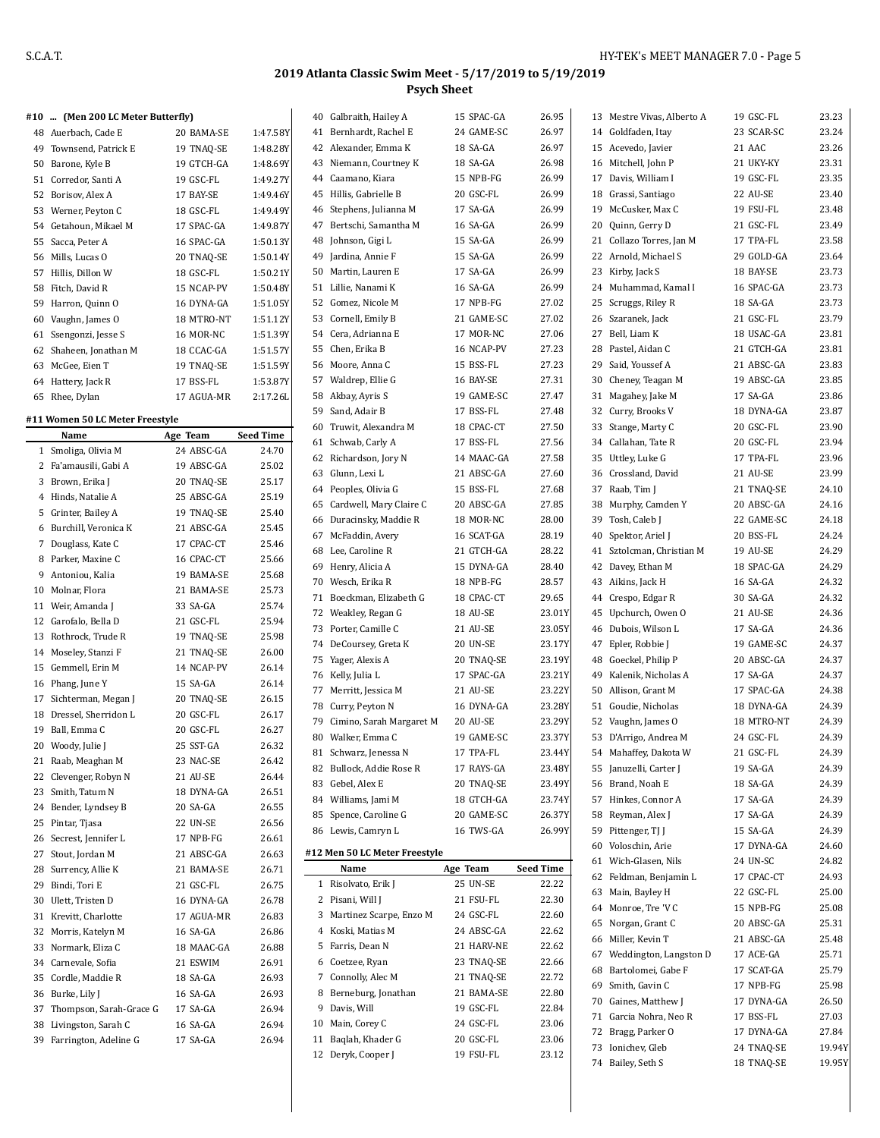#### **#10 ... (Men 200 LC Meter Butterfly)**

|    | 48 Auerbach, Cade E    | 20 BAMA-SE | 1:47.58Y |
|----|------------------------|------------|----------|
|    | 49 Townsend, Patrick E | 19 TNAO-SE | 1:48.28Y |
| 50 | Barone, Kyle B         | 19 GTCH-GA | 1:48.69Y |
|    | 51 Corredor, Santi A   | 19 GSC-FL  | 1:49.27Y |
| 52 | Borisov, Alex A        | 17 BAY-SE  | 1:49.46Y |
|    | 53 Werner, Peyton C    | 18 GSC-FL  | 1:49.49Y |
|    | 54 Getahoun, Mikael M  | 17 SPAC-GA | 1:49.87Y |
| 55 | Sacca, Peter A         | 16 SPAC-GA | 1:50.13Y |
|    | 56 Mills, Lucas O      | 20 TNAQ-SE | 1:50.14Y |
|    | 57 Hillis, Dillon W    | 18 GSC-FL  | 1:50.21Y |
|    | 58 Fitch, David R      | 15 NCAP-PV | 1:50.48Y |
| 59 | Harron, Quinn O        | 16 DYNA-GA | 1:51.05Y |
| 60 | Vaughn, James O        | 18 MTRO-NT | 1:51.12Y |
| 61 | Ssengonzi, Jesse S     | 16 MOR-NC  | 1:51.39Y |
| 62 | Shaheen, Jonathan M    | 18 CCAC-GA | 1:51.57Y |
| 63 | McGee, Eien T          | 19 TNAQ-SE | 1:51.59Y |
|    | 64 Hattery, Jack R     | 17 BSS-FL  | 1:53.87Y |
| 65 | Rhee, Dylan            | 17 AGUA-MR | 2:17.26L |

#### **#11 Women 50 LC Meter Freestyle**

|    | Name                    | Age Team   | <b>Seed Time</b> |
|----|-------------------------|------------|------------------|
| 1  | Smoliga, Olivia M       | 24 ABSC-GA | 24.70            |
| 2  | Fa'amausili, Gabi A     | 19 ABSC-GA | 25.02            |
| 3  | Brown, Erika J          | 20 TNAQ-SE | 25.17            |
| 4  | Hinds, Natalie A        | 25 ABSC-GA | 25.19            |
| 5  | Grinter, Bailey A       | 19 TNAQ-SE | 25.40            |
| 6  | Burchill, Veronica K    | 21 ABSC-GA | 25.45            |
| 7  | Douglass, Kate C        | 17 CPAC-CT | 25.46            |
| 8  | Parker, Maxine C        | 16 CPAC-CT | 25.66            |
| 9  | Antoniou, Kalia         | 19 BAMA-SE | 25.68            |
| 10 | Molnar, Flora           | 21 BAMA-SE | 25.73            |
| 11 | Weir, Amanda J          | 33 SA-GA   | 25.74            |
| 12 | Garofalo, Bella D       | 21 GSC-FL  | 25.94            |
| 13 | Rothrock, Trude R       | 19 TNAQ-SE | 25.98            |
|    | 14 Moseley, Stanzi F    | 21 TNAQ-SE | 26.00            |
| 15 | Gemmell, Erin M         | 14 NCAP-PV | 26.14            |
|    | 16 Phang, June Y        | 15 SA-GA   | 26.14            |
| 17 | Sichterman, Megan J     | 20 TNAQ-SE | 26.15            |
| 18 | Dressel, Sherridon L    | 20 GSC-FL  | 26.17            |
|    | 19 Ball, Emma C         | 20 GSC-FL  | 26.27            |
|    | 20 Woody, Julie J       | 25 SST-GA  | 26.32            |
| 21 | Raab, Meaghan M         | 23 NAC-SE  | 26.42            |
| 22 | Clevenger, Robyn N      | 21 AU-SE   | 26.44            |
| 23 | Smith, Tatum N          | 18 DYNA-GA | 26.51            |
|    | 24 Bender, Lyndsey B    | 20 SA-GA   | 26.55            |
| 25 | Pintar, Tjasa           | 22 UN-SE   | 26.56            |
|    | 26 Secrest, Jennifer L  | 17 NPB-FG  | 26.61            |
| 27 | Stout, Jordan M         | 21 ABSC-GA | 26.63            |
| 28 | Surrency, Allie K       | 21 BAMA-SE | 26.71            |
| 29 | Bindi, Tori E           | 21 GSC-FL  | 26.75            |
| 30 | Ulett, Tristen D        | 16 DYNA-GA | 26.78            |
| 31 | Krevitt, Charlotte      | 17 AGUA-MR | 26.83            |
| 32 | Morris, Katelyn M       | 16 SA-GA   | 26.86            |
| 33 | Normark, Eliza C        | 18 MAAC-GA | 26.88            |
|    | 34 Carnevale, Sofia     | 21 ESWIM   | 26.91            |
| 35 | Cordle, Maddie R        | 18 SA-GA   | 26.93            |
| 36 | Burke, Lily J           | 16 SA-GA   | 26.93            |
| 37 | Thompson, Sarah-Grace G | 17 SA-GA   | 26.94            |
| 38 | Livingston, Sarah C     | 16 SA-GA   | 26.94            |
| 39 | Farrington, Adeline G   | 17 SA-GA   | 26.94            |
|    |                         |            |                  |

 $\overline{\phantom{a}}$ 

|    | 40 Galbraith, Hailey A        | 15 SPAC-GA      | 26.95            |
|----|-------------------------------|-----------------|------------------|
| 41 | Bernhardt, Rachel E           | 24 GAME-SC      | 26.97            |
|    | 42 Alexander, Emma K          | 18 SA-GA        | 26.97            |
|    | 43 Niemann, Courtney K        | 18 SA-GA        | 26.98            |
|    | 44 Caamano, Kiara             | 15 NPB-FG       | 26.99            |
|    | 45 Hillis, Gabrielle B        | 20 GSC-FL       | 26.99            |
|    | 46 Stephens, Julianna M       | 17 SA-GA        | 26.99            |
|    | 47 Bertschi, Samantha M       | 16 SA-GA        | 26.99            |
|    | 48 Johnson, Gigi L            | 15 SA-GA        | 26.99            |
| 49 | Jardina, Annie F              | 15 SA-GA        | 26.99            |
|    | 50 Martin, Lauren E           | 17 SA-GA        | 26.99            |
| 51 | Lillie, Nanami K              | 16 SA-GA        | 26.99            |
|    | 52 Gomez, Nicole M            | 17 NPB-FG       | 27.02            |
|    | 53 Cornell, Emily B           | 21 GAME-SC      | 27.02            |
|    | 54 Cera, Adrianna E           | 17 MOR-NC       | 27.06            |
|    | 55 Chen, Erika B              | 16 NCAP-PV      | 27.23            |
|    | 56 Moore, Anna C              | 15 BSS-FL       | 27.23            |
|    | 57 Waldrep, Ellie G           | 16 BAY-SE       | 27.31            |
|    | 58 Akbay, Ayris S             | 19 GAME-SC      | 27.47            |
|    | 59 Sand, Adair B              | 17 BSS-FL       | 27.48            |
|    | 60 Truwit. Alexandra M        | 18 CPAC-CT      | 27.50            |
| 61 | Schwab, Carly A               | 17 BSS-FL       | 27.56            |
|    | 62 Richardson, Jory N         | 14 MAAC-GA      | 27.58            |
|    | 63 Glunn, Lexi L              | 21 ABSC-GA      | 27.60            |
|    | 64 Peoples, Olivia G          | 15 BSS-FL       | 27.68            |
| 65 | Cardwell, Mary Claire C       | 20 ABSC-GA      | 27.85            |
|    | 66 Duracinsky, Maddie R       | 18 MOR-NC       | 28.00            |
|    | 67 McFaddin, Avery            | 16 SCAT-GA      | 28.19            |
|    | 68 Lee, Caroline R            | 21 GTCH-GA      | 28.22            |
|    | 69 Henry, Alicia A            | 15 DYNA-GA      | 28.40            |
|    | 70 Wesch, Erika R             | 18 NPB-FG       | 28.57            |
| 71 | Boeckman, Elizabeth G         | 18 CPAC-CT      | 29.65            |
|    | 72 Weakley, Regan G           | 18 AU-SE        | 23.01Y           |
|    | 73 Porter, Camille C          | 21 AU-SE        | 23.05Y           |
|    | 74 DeCoursey, Greta K         | <b>20 UN-SE</b> | 23.17Y           |
|    | 75 Yager, Alexis A            | 20 TNAQ-SE      | 23.19Y           |
|    | 76 Kelly, Julia L             | 17 SPAC-GA      | 23.21Y           |
|    | 77 Merritt, Jessica M         | 21 AU-SE        | 23.22Y           |
|    | 78 Curry, Peyton N            | 16 DYNA-GA      | 23.28Y           |
|    | 79 Cimino, Sarah Margaret M   | 20 AU-SE        | 23.29Y           |
|    | 80 Walker, Emma C             | 19 GAME-SC      | 23.37Y           |
| 81 | Schwarz, Jenessa N            | 17 TPA-FL       | 23.44Y           |
| 82 | Bullock, Addie Rose R         | 17 RAYS-GA      | 23.48Y           |
|    | 83 Gebel, Alex E              | 20 TNAO-SE      | 23.49Y           |
|    | 84 Williams, Jami M           | 18 GTCH-GA      | 23.74Y           |
| 85 | Spence, Caroline G            | 20 GAME-SC      | 26.37Y           |
| 86 | Lewis, Camryn L               | 16 TWS-GA       | 26.99Y           |
|    |                               |                 |                  |
|    | #12 Men 50 LC Meter Freestyle |                 |                  |
|    | Name                          | Age Team        | <b>Seed Time</b> |
| 1  | Risolvato, Erik J             | 25 UN-SE        | 22.22            |
| 2  | Pisani, Will J                | 21 FSU-FL       | 22.30            |
|    | 3 Martinez Scarpe, Enzo M     | 24 GSC-FL       | 22.60            |
|    | 4 Koski, Matias M             | 24 ABSC-GA      | 22.62            |
|    | 5 Farris, Dean N              | 21 HARV-NE      | 22.62            |
|    | 6 Coetzee, Ryan               | 23 TNAQ-SE      | 22.66            |
|    | 7 Connolly, Alec M            | 21 TNAQ-SE      | 22.72            |
|    | 8 Berneburg, Jonathan         | 21 BAMA-SE      | 22.80            |
|    | 9 Davis, Will                 | 19 GSC-FL       | 22.84            |
|    | 10 Main, Corey C              | 24 GSC-FL       | 23.06            |
| 11 | Baqlah, Khader G              | 20 GSC-FL       | 23.06            |
| 12 | Deryk, Cooper J               | 19 FSU-FL       | 23.12            |

| 13 | Mestre Vivas, Alberto A   | 19 GSC-FL  | 23.23  |
|----|---------------------------|------------|--------|
|    | 14 Goldfaden, Itay        | 23 SCAR-SC | 23.24  |
| 15 | Acevedo, Javier           | 21 AAC     | 23.26  |
|    | 16 Mitchell, John P       | 21 UKY-KY  | 23.31  |
| 17 |                           | 19 GSC-FL  |        |
|    | Davis, William I          |            | 23.35  |
| 18 | Grassi, Santiago          | 22 AU-SE   | 23.40  |
| 19 | McCusker, Max C           | 19 FSU-FL  | 23.48  |
| 20 | Quinn, Gerry D            | 21 GSC-FL  | 23.49  |
| 21 | Collazo Torres, Jan M     | 17 TPA-FL  | 23.58  |
| 22 | Arnold, Michael S         | 29 GOLD-GA | 23.64  |
|    | 23 Kirby, Jack S          | 18 BAY-SE  | 23.73  |
| 24 | Muhammad, Kamal I         | 16 SPAC-GA | 23.73  |
| 25 | Scruggs, Riley R          | 18 SA-GA   | 23.73  |
| 26 | Szaranek, Jack            | 21 GSC-FL  | 23.79  |
| 27 | Bell, Liam K              | 18 USAC-GA | 23.81  |
| 28 | Pastel, Aidan C           | 21 GTCH-GA | 23.81  |
| 29 | Said, Youssef A           | 21 ABSC-GA | 23.83  |
| 30 | Cheney, Teagan M          | 19 ABSC-GA | 23.85  |
| 31 | Magahey, Jake M           | 17 SA-GA   | 23.86  |
| 32 | Curry, Brooks V           | 18 DYNA-GA | 23.87  |
| 33 | Stange, Marty C           | 20 GSC-FL  | 23.90  |
| 34 | Callahan, Tate R          | 20 GSC-FL  | 23.94  |
| 35 |                           | 17 TPA-FL  | 23.96  |
|    | Uttley, Luke G            |            |        |
| 36 | Crossland, David          | 21 AU-SE   | 23.99  |
| 37 | Raab, Tim J               | 21 TNAQ-SE | 24.10  |
| 38 | Murphy, Camden Y          | 20 ABSC-GA | 24.16  |
|    | 39 Tosh, Caleb J          | 22 GAME-SC | 24.18  |
| 40 | Spektor, Ariel J          | 20 BSS-FL  | 24.24  |
| 41 | Sztolcman, Christian M    | 19 AU-SE   | 24.29  |
| 42 | Davey, Ethan M            | 18 SPAC-GA | 24.29  |
| 43 | Aikins, Jack H            | 16 SA-GA   | 24.32  |
| 44 | Crespo, Edgar R           | 30 SA-GA   | 24.32  |
| 45 | Upchurch, Owen O          | 21 AU-SE   | 24.36  |
| 46 | Dubois, Wilson L          | 17 SA-GA   | 24.36  |
| 47 | Epler, Robbie J           | 19 GAME-SC | 24.37  |
| 48 | Goeckel, Philip P         | 20 ABSC-GA | 24.37  |
| 49 | Kalenik, Nicholas A       | 17 SA-GA   | 24.37  |
| 50 | Allison, Grant M          | 17 SPAC-GA | 24.38  |
|    | 51 Goudie, Nicholas       | 18 DYNA-GA | 24.39  |
| 52 | Vaughn, James O           | 18 MTRO-NT | 24.39  |
|    | 53 D'Arrigo, Andrea M     | 24 GSC-FL  | 24.39  |
|    | 54 Mahaffey, Dakota W     | 21 GSC-FL  | 24.39  |
|    | 55 Januzelli, Carter J    | 19 SA-GA   | 24.39  |
|    | 56 Brand, Noah E          | 18 SA-GA   |        |
|    |                           |            | 24.39  |
|    | 57 Hinkes, Connor A       | 17 SA-GA   | 24.39  |
|    | 58 Reyman, Alex J         | 17 SA-GA   | 24.39  |
|    | 59 Pittenger, TJ J        | 15 SA-GA   | 24.39  |
|    | 60 Voloschin, Arie        | 17 DYNA-GA | 24.60  |
|    | 61 Wich-Glasen, Nils      | 24 UN-SC   | 24.82  |
|    | 62 Feldman, Benjamin L    | 17 CPAC-CT | 24.93  |
|    | 63 Main, Bayley H         | 22 GSC-FL  | 25.00  |
|    | 64 Monroe, Tre 'V C       | 15 NPB-FG  | 25.08  |
| 65 | Norgan, Grant C           | 20 ABSC-GA | 25.31  |
|    | 66 Miller, Kevin T        | 21 ABSC-GA | 25.48  |
|    | 67 Weddington, Langston D | 17 ACE-GA  | 25.71  |
|    | 68 Bartolomei, Gabe F     | 17 SCAT-GA | 25.79  |
|    | 69 Smith, Gavin C         | 17 NPB-FG  | 25.98  |
|    | 70 Gaines, Matthew J      | 17 DYNA-GA | 26.50  |
| 71 | Garcia Nohra, Neo R       | 17 BSS-FL  | 27.03  |
|    | 72 Bragg, Parker O        | 17 DYNA-GA | 27.84  |
|    | 73 Ionichev, Gleb         | 24 TNAQ-SE | 19.94Y |
|    | 74 Bailey, Seth S         | 18 TNAQ-SE | 19.95Y |
|    |                           |            |        |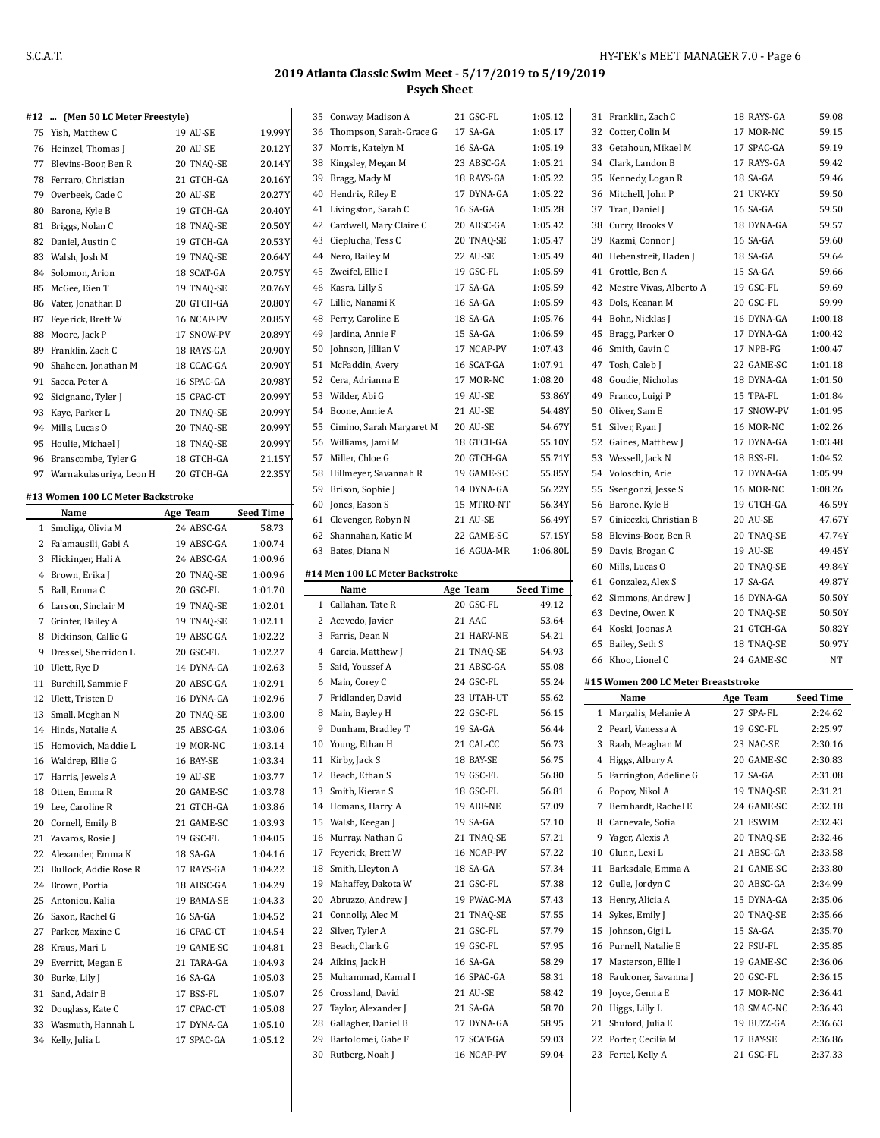|   | #12  (Men 50 LC Meter Freestyle)  |            |                  |    | 35 Conway, Madison A                     | 21 GSC-FL                | 1:05.12          | 31 Franklin, Zach C                        | 18 RAYS-GA             | 59.08              |
|---|-----------------------------------|------------|------------------|----|------------------------------------------|--------------------------|------------------|--------------------------------------------|------------------------|--------------------|
|   | 75 Yish, Matthew C                | 19 AU-SE   | 19.99Y           |    | 36 Thompson, Sarah-Grace G               | 17 SA-GA                 | 1:05.17          | 32 Cotter, Colin M                         | 17 MOR-NC              | 59.15              |
|   |                                   |            |                  |    | 37 Morris, Katelyn M                     | 16 SA-GA                 | 1:05.19          | 33 Getahoun, Mikael M                      | 17 SPAC-GA             | 59.19              |
|   | 76 Heinzel, Thomas J              | 20 AU-SE   | 20.12Y           |    |                                          |                          |                  |                                            |                        |                    |
|   | 77 Blevins-Boor, Ben R            | 20 TNAQ-SE | 20.14Y           |    | 38 Kingsley, Megan M                     | 23 ABSC-GA               | 1:05.21          | 34 Clark, Landon B                         | 17 RAYS-GA             | 59.42              |
|   | 78 Ferraro, Christian             | 21 GTCH-GA | 20.16Y           |    | 39 Bragg, Mady M                         | 18 RAYS-GA               | 1:05.22          | 35 Kennedy, Logan R                        | 18 SA-GA               | 59.46              |
|   | 79 Overbeek, Cade C               | 20 AU-SE   | 20.27Y           |    | 40 Hendrix, Riley E                      | 17 DYNA-GA               | 1:05.22          | 36 Mitchell, John P                        | 21 UKY-KY              | 59.50              |
|   | 80 Barone, Kyle B                 | 19 GTCH-GA | 20.40Y           |    | 41 Livingston, Sarah C                   | 16 SA-GA                 | 1:05.28          | 37 Tran, Daniel J                          | 16 SA-GA               | 59.50              |
|   | 81 Briggs, Nolan C                | 18 TNAQ-SE | 20.50Y           |    | 42 Cardwell, Mary Claire C               | 20 ABSC-GA               | 1:05.42          | 38 Curry, Brooks V                         | 18 DYNA-GA             | 59.57              |
|   | 82 Daniel, Austin C               | 19 GTCH-GA | 20.53Y           |    | 43 Cieplucha, Tess C                     | 20 TNAQ-SE               | 1:05.47          | 39 Kazmi, Connor J                         | 16 SA-GA               | 59.60              |
|   | 83 Walsh, Josh M                  | 19 TNAQ-SE | 20.64Y           |    | 44 Nero, Bailey M                        | 22 AU-SE                 | 1:05.49          | 40 Hebenstreit, Haden J                    | 18 SA-GA               | 59.64              |
|   | 84 Solomon, Arion                 | 18 SCAT-GA | 20.75Y           |    | 45 Zweifel, Ellie I                      | 19 GSC-FL                | 1:05.59          | 41 Grottle, Ben A                          | 15 SA-GA               | 59.66              |
|   | 85 McGee, Eien T                  | 19 TNAQ-SE | 20.76Y           |    | 46 Kasra, Lilly S                        | 17 SA-GA                 | 1:05.59          | 42 Mestre Vivas, Alberto A                 | 19 GSC-FL              | 59.69              |
|   | 86 Vater, Jonathan D              | 20 GTCH-GA | 20.80Y           |    | 47 Lillie, Nanami K                      | 16 SA-GA                 | 1:05.59          | 43 Dols, Keanan M                          | 20 GSC-FL              | 59.99              |
|   |                                   |            |                  |    | 48 Perry, Caroline E                     | 18 SA-GA                 | 1:05.76          | 44 Bohn, Nicklas J                         | 16 DYNA-GA             | 1:00.18            |
|   | 87 Feyerick, Brett W              | 16 NCAP-PV | 20.85Y           |    |                                          |                          | 1:06.59          |                                            |                        |                    |
|   | 88 Moore, Jack P                  | 17 SNOW-PV | 20.89Y           | 49 | Jardina, Annie F                         | 15 SA-GA                 |                  | 45 Bragg, Parker O                         | 17 DYNA-GA             | 1:00.42            |
|   | 89 Franklin, Zach C               | 18 RAYS-GA | 20.90Y           |    | 50 Johnson, Jillian V                    | 17 NCAP-PV               | 1:07.43          | 46 Smith, Gavin C                          | 17 NPB-FG              | 1:00.47            |
|   | 90 Shaheen, Jonathan M            | 18 CCAC-GA | 20.90Y           |    | 51 McFaddin, Avery                       | 16 SCAT-GA               | 1:07.91          | 47 Tosh, Caleb J                           | 22 GAME-SC             | 1:01.18            |
|   | 91 Sacca, Peter A                 | 16 SPAC-GA | 20.98Y           |    | 52 Cera, Adrianna E                      | 17 MOR-NC                | 1:08.20          | 48 Goudie, Nicholas                        | 18 DYNA-GA             | 1:01.50            |
|   | 92 Sicignano, Tyler J             | 15 CPAC-CT | 20.99Y           |    | 53 Wilder, Abi G                         | 19 AU-SE                 | 53.86Y           | 49 Franco, Luigi P                         | 15 TPA-FL              | 1:01.84            |
|   | 93 Kaye, Parker L                 | 20 TNAQ-SE | 20.99Y           |    | 54 Boone, Annie A                        | 21 AU-SE                 | 54.48Y           | 50 Oliver, Sam E                           | 17 SNOW-PV             | 1:01.95            |
|   | 94 Mills, Lucas O                 | 20 TNAQ-SE | 20.99Y           |    | 55 Cimino, Sarah Margaret M              | 20 AU-SE                 | 54.67Y           | 51 Silver, Ryan J                          | 16 MOR-NC              | 1:02.26            |
|   | 95 Houlie, Michael J              | 18 TNAQ-SE | 20.99Y           |    | 56 Williams, Jami M                      | 18 GTCH-GA               | 55.10Y           | 52 Gaines, Matthew J                       | 17 DYNA-GA             | 1:03.48            |
|   | 96 Branscombe, Tyler G            | 18 GTCH-GA | 21.15Y           |    | 57 Miller, Chloe G                       | 20 GTCH-GA               | 55.71Y           | 53 Wessell, Jack N                         | 18 BSS-FL              | 1:04.52            |
|   | 97 Warnakulasuriya, Leon H        | 20 GTCH-GA | 22.35Y           |    | 58 Hillmeyer, Savannah R                 | 19 GAME-SC               | 55.85Y           | 54 Voloschin, Arie                         | 17 DYNA-GA             | 1:05.99            |
|   |                                   |            |                  |    | 59 Brison, Sophie J                      | 14 DYNA-GA               | 56.22Y           | 55 Ssengonzi, Jesse S                      | 16 MOR-NC              | 1:08.26            |
|   | #13 Women 100 LC Meter Backstroke |            |                  |    | 60 Jones, Eason S                        | 15 MTRO-NT               | 56.34Y           | 56 Barone, Kyle B                          | 19 GTCH-GA             | 46.59Y             |
|   | Name                              | Age Team   | <b>Seed Time</b> |    | 61 Clevenger, Robyn N                    | 21 AU-SE                 | 56.49Y           | 57 Ginieczki, Christian B                  | 20 AU-SE               | 47.67Y             |
|   | 1 Smoliga, Olivia M               | 24 ABSC-GA | 58.73            |    |                                          |                          |                  |                                            |                        |                    |
|   | 2 Fa'amausili, Gabi A             | 19 ABSC-GA | 1:00.74          |    | 62 Shannahan, Katie M                    | 22 GAME-SC               | 57.15Y           | 58 Blevins-Boor, Ben R                     | 20 TNAQ-SE             | 47.74Y             |
|   | 3 Flickinger, Hali A              | 24 ABSC-GA | 1:00.96          |    | 63 Bates, Diana N                        | 16 AGUA-MR               | 1:06.80L         | 59 Davis, Brogan C                         | 19 AU-SE               | 49.45Y             |
|   | 4 Brown, Erika J                  | 20 TNAQ-SE | 1:00.96          |    | #14 Men 100 LC Meter Backstroke          |                          |                  | 60 Mills, Lucas O                          | 20 TNAQ-SE             | 49.84Y             |
|   |                                   |            |                  |    |                                          |                          |                  | 61 Gonzalez, Alex S                        | 17 SA-GA               | 49.87Y             |
|   |                                   |            |                  |    |                                          |                          |                  |                                            |                        |                    |
|   | 5 Ball, Emma C                    | 20 GSC-FL  | 1:01.70          |    | Name                                     | Age Team                 | <b>Seed Time</b> | 62 Simmons, Andrew J                       | 16 DYNA-GA             | 50.50Y             |
|   | 6 Larson, Sinclair M              | 19 TNAQ-SE | 1:02.01          |    | 1 Callahan, Tate R                       | 20 GSC-FL                | 49.12            | 63 Devine, Owen K                          | 20 TNAQ-SE             | 50.50Y             |
|   | 7 Grinter, Bailey A               | 19 TNAQ-SE | 1:02.11          |    | 2 Acevedo, Javier                        | 21 AAC                   | 53.64            | 64 Koski, Joonas A                         | 21 GTCH-GA             | 50.82Y             |
|   | 8 Dickinson, Callie G             | 19 ABSC-GA | 1:02.22          |    | 3 Farris, Dean N                         | 21 HARV-NE               | 54.21            | 65 Bailey, Seth S                          | 18 TNAQ-SE             | 50.97Y             |
| 9 | Dressel, Sherridon L              | 20 GSC-FL  | 1:02.27          |    | 4 Garcia, Matthew J                      | 21 TNAQ-SE               | 54.93            | 66 Khoo, Lionel C                          | 24 GAME-SC             | NT                 |
|   | 10 Ulett, Rye D                   | 14 DYNA-GA | 1:02.63          |    | 5 Said, Youssef A                        | 21 ABSC-GA               | 55.08            |                                            |                        |                    |
|   | 11 Burchill, Sammie F             | 20 ABSC-GA | 1:02.91          |    | 6 Main, Corey C                          | 24 GSC-FL                | 55.24            | #15 Women 200 LC Meter Breaststroke        |                        |                    |
|   | 12 Ulett, Tristen D               | 16 DYNA-GA | 1:02.96          |    | 7 Fridlander, David                      | 23 UTAH-UT               | 55.62            | Name                                       | Age Team               | <b>Seed Time</b>   |
|   | 13 Small, Meghan N                | 20 TNAQ-SE | 1:03.00          |    | 8 Main, Bayley H                         | 22 GSC-FL                | 56.15            | 1 Margalis, Melanie A                      | 27 SPA-FL              | 2:24.62            |
|   | 14 Hinds, Natalie A               | 25 ABSC-GA | 1:03.06          |    | 9 Dunham, Bradley T                      | 19 SA-GA                 | 56.44            | 2 Pearl, Vanessa A                         | 19 GSC-FL              | 2:25.97            |
|   | 15 Homovich, Maddie L             | 19 MOR-NC  | 1:03.14          |    | 10 Young, Ethan H                        | 21 CAL-CC                | 56.73            | 3 Raab, Meaghan M                          | 23 NAC-SE              | 2:30.16            |
|   |                                   |            |                  |    | 11 Kirby, Jack S                         | 18 BAY-SE                | 56.75            | 4 Higgs, Albury A                          | 20 GAME-SC             | 2:30.83            |
|   | 16 Waldrep, Ellie G               | 16 BAY-SE  | 1:03.34          |    |                                          |                          |                  |                                            |                        |                    |
|   | 17 Harris, Jewels A               | 19 AU-SE   | 1:03.77          |    | 12 Beach, Ethan S                        | 19 GSC-FL                | 56.80            | 5 Farrington, Adeline G                    | 17 SA-GA               | 2:31.08            |
|   | 18 Otten, Emma R                  | 20 GAME-SC | 1:03.78          |    | 13 Smith, Kieran S                       | 18 GSC-FL                | 56.81            | 6 Popov, Nikol A                           | 19 TNAQ-SE             | 2:31.21            |
|   | 19 Lee, Caroline R                | 21 GTCH-GA | 1:03.86          |    | 14 Homans, Harry A                       | 19 ABF-NE                | 57.09            | 7 Bernhardt, Rachel E                      | 24 GAME-SC             | 2:32.18            |
|   | 20 Cornell, Emily B               | 21 GAME-SC | 1:03.93          |    | 15 Walsh, Keegan J                       | 19 SA-GA                 | 57.10            | 8 Carnevale, Sofia                         | 21 ESWIM               | 2:32.43            |
|   | 21 Zavaros, Rosie J               | 19 GSC-FL  | 1:04.05          |    | 16 Murray, Nathan G                      | 21 TNAQ-SE               | 57.21            | 9 Yager, Alexis A                          | 20 TNAQ-SE             | 2:32.46            |
|   | 22 Alexander, Emma K              | 18 SA-GA   | 1:04.16          |    | 17 Feyerick, Brett W                     | 16 NCAP-PV               | 57.22            | 10 Glunn, Lexi L                           | 21 ABSC-GA             | 2:33.58            |
|   | 23 Bullock, Addie Rose R          | 17 RAYS-GA | 1:04.22          |    | 18 Smith, Lleyton A                      | 18 SA-GA                 | 57.34            | 11 Barksdale, Emma A                       | 21 GAME-SC             | 2:33.80            |
|   | 24 Brown, Portia                  | 18 ABSC-GA | 1:04.29          |    | 19 Mahaffey, Dakota W                    | 21 GSC-FL                | 57.38            | 12 Gulle, Jordyn C                         | 20 ABSC-GA             | 2:34.99            |
|   | 25 Antoniou, Kalia                | 19 BAMA-SE | 1:04.33          |    | 20 Abruzzo, Andrew J                     | 19 PWAC-MA               | 57.43            | 13 Henry, Alicia A                         | 15 DYNA-GA             | 2:35.06            |
|   | 26 Saxon, Rachel G                | 16 SA-GA   | 1:04.52          |    | 21 Connolly, Alec M                      | 21 TNAQ-SE               | 57.55            | 14 Sykes, Emily J                          | 20 TNAQ-SE             | 2:35.66            |
|   | 27 Parker, Maxine C               | 16 CPAC-CT | 1:04.54          |    | 22 Silver, Tyler A                       | 21 GSC-FL                | 57.79            | 15 Johnson, Gigi L                         | 15 SA-GA               | 2:35.70            |
|   | 28 Kraus, Mari L                  | 19 GAME-SC | 1:04.81          |    | 23 Beach, Clark G                        | 19 GSC-FL                | 57.95            | 16 Purnell, Natalie E                      | 22 FSU-FL              | 2:35.85            |
|   |                                   |            |                  |    |                                          |                          |                  |                                            |                        |                    |
|   | 29 Everritt, Megan E              | 21 TARA-GA | 1:04.93          |    | 24 Aikins, Jack H                        | 16 SA-GA                 | 58.29            | 17 Masterson, Ellie I                      | 19 GAME-SC             | 2:36.06            |
|   | 30 Burke, Lily J                  | 16 SA-GA   | 1:05.03          |    | 25 Muhammad, Kamal I                     | 16 SPAC-GA               | 58.31            | 18 Faulconer, Savanna J                    | 20 GSC-FL              | 2:36.15            |
|   | 31 Sand, Adair B                  | 17 BSS-FL  | 1:05.07          |    | 26 Crossland, David                      | 21 AU-SE                 | 58.42            | 19 Joyce, Genna E                          | 17 MOR-NC              | 2:36.41            |
|   | 32 Douglass, Kate C               | 17 CPAC-CT | 1:05.08          |    | 27 Taylor, Alexander J                   | 21 SA-GA                 | 58.70            | 20 Higgs, Lilly L                          | 18 SMAC-NC             | 2:36.43            |
|   | 33 Wasmuth, Hannah L              | 17 DYNA-GA | 1:05.10          |    | 28 Gallagher, Daniel B                   | 17 DYNA-GA               | 58.95            | 21 Shuford, Julia E                        | 19 BUZZ-GA             | 2:36.63            |
|   | 34 Kelly, Julia L                 | 17 SPAC-GA | 1:05.12          | 29 | Bartolomei, Gabe F<br>30 Rutberg, Noah J | 17 SCAT-GA<br>16 NCAP-PV | 59.03<br>59.04   | 22 Porter, Cecilia M<br>23 Fertel, Kelly A | 17 BAY-SE<br>21 GSC-FL | 2:36.86<br>2:37.33 |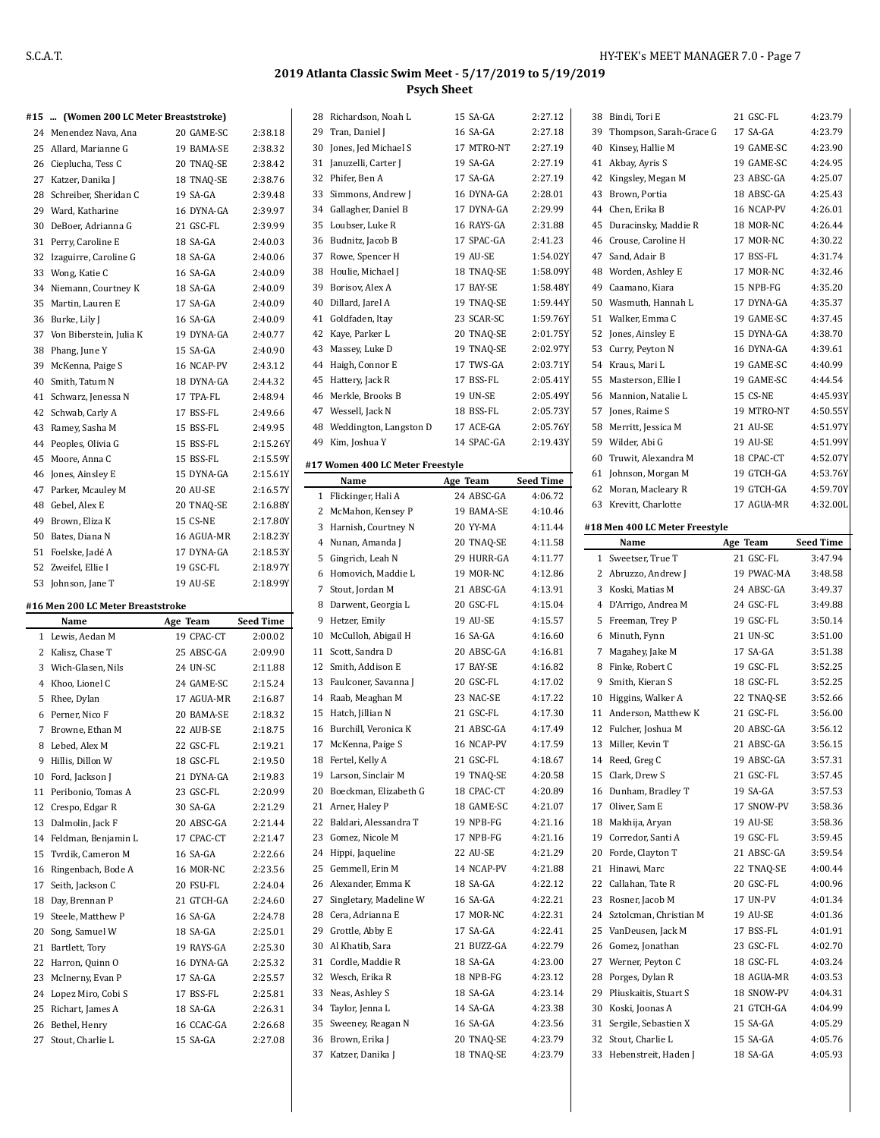| #15  (Women 200 LC Meter Breaststroke) |
|----------------------------------------|

|    | 24 Menendez Nava, Ana    | 20 GAME-SC      | 2:38.18  |
|----|--------------------------|-----------------|----------|
|    | 25 Allard, Marianne G    | 19 BAMA-SE      | 2:38.32  |
|    | 26 Cieplucha, Tess C     | 20 TNAO-SE      | 2:38.42  |
| 27 | Katzer, Danika J         | 18 TNAO-SE      | 2:38.76  |
| 28 | Schreiber, Sheridan C    | 19 SA-GA        | 2:39.48  |
|    | 29 Ward, Katharine       | 16 DYNA-GA      | 2:39.97  |
| 30 | DeBoer, Adrianna G       | 21 GSC-FL       | 2.39.99  |
| 31 | Perry, Caroline E        | 18 SA-GA        | 2:40.03  |
|    | 32 Izaguirre, Caroline G | 18 SA-GA        | 2:40.06  |
|    | 33 Wong, Katie C         | 16 SA-GA        | 2:40.09  |
|    | 34 Niemann, Courtney K   | 18 SA-GA        | 2:40.09  |
| 35 | Martin, Lauren E         | 17 SA-GA        | 2:40.09  |
|    | 36 Burke, Lily J         | 16 SA-GA        | 2:40.09  |
| 37 | Von Biberstein, Julia K  | 19 DYNA-GA      | 2:40.77  |
| 38 | Phang, June Y            | 15 SA-GA        | 2:40.90  |
| 39 | McKenna, Paige S         | 16 NCAP-PV      | 2:43.12  |
| 40 | Smith, Tatum N           | 18 DYNA-GA      | 2:44.32  |
| 41 | Schwarz, Jenessa N       | 17 TPA-FL       | 2:48.94  |
| 42 | Schwab, Carly A          | 17 BSS-FL       | 2:49.66  |
| 43 | Ramey, Sasha M           | 15 BSS-FL       | 2:49.95  |
| 44 | Peoples, Olivia G        | 15 BSS-FL       | 2:15.26Y |
| 45 | Moore, Anna C            | 15 BSS-FL       | 2:15.59Y |
| 46 | Jones, Ainsley E         | 15 DYNA-GA      | 2:15.61Y |
| 47 | Parker, Mcauley M        | 20 AU-SE        | 2:16.57Y |
| 48 | Gebel. Alex E            | 20 TNAO-SE      | 2:16.88Y |
| 49 | Brown, Eliza K           | <b>15 CS-NE</b> | 2:17.80Y |
| 50 | Bates, Diana N           | 16 AGUA-MR      | 2:18.23Y |
| 51 | Foelske, Jadé A          | 17 DYNA-GA      | 2:18.53Y |
| 52 | Zweifel, Ellie I         | 19 GSC-FL       | 2:18.97Y |
| 53 | Johnson, Jane T          | 19 AU-SE        | 2:18.99Y |

#### **#16 Men 200 LC Meter Breaststroke**

|    | Name                | Age Team   | <b>Seed Time</b> |
|----|---------------------|------------|------------------|
| 1  | Lewis, Aedan M      | 19 CPAC-CT | 2:00.02          |
| 2  | Kalisz, Chase T     | 25 ABSC-GA | 2:09.90          |
| 3  | Wich-Glasen, Nils   | 24 UN-SC   | 2:11.88          |
| 4  | Khoo, Lionel C      | 24 GAME-SC | 2:15.24          |
| 5  | Rhee, Dylan         | 17 AGUA-MR | 2:16.87          |
| 6  | Perner, Nico F      | 20 BAMA-SE | 2:18.32          |
| 7  | Browne, Ethan M     | 22 AUB-SE  | 2:18.75          |
| 8  | Lebed, Alex M       | 22 GSC-FL  | 2:19.21          |
| 9  | Hillis, Dillon W    | 18 GSC-FL  | 2:19.50          |
| 10 | Ford, Jackson J     | 21 DYNA-GA | 2:19.83          |
| 11 | Peribonio, Tomas A  | 23 GSC-FL  | 2:20.99          |
| 12 | Crespo, Edgar R     | 30 SA-GA   | 2:21.29          |
| 13 | Dalmolin, Jack F    | 20 ABSC-GA | 2:21.44          |
| 14 | Feldman, Benjamin L | 17 CPAC-CT | 2:21.47          |
| 15 | Tvrdik, Cameron M   | 16 SA-GA   | 2:22.66          |
| 16 | Ringenbach, Bode A  | 16 MOR-NC  | 2:23.56          |
| 17 | Seith, Jackson C    | 20 FSU-FL  | 2:24.04          |
| 18 | Day, Brennan P      | 21 GTCH-GA | 2:24.60          |
| 19 | Steele, Matthew P   | $16$ SA-GA | 2:24.78          |
| 20 | Song, Samuel W      | 18 SA-GA   | 2:25.01          |
| 21 | Bartlett, Tory      | 19 RAYS-GA | 2:25.30          |
| 22 | Harron, Quinn O     | 16 DYNA-GA | 2:25.32          |
| 23 | McInerny, Evan P    | $17$ SA-GA | 2:25.57          |
| 24 | Lopez Miro, Cobi S  | 17 BSS-FL  | 2:25.81          |
| 25 | Richart, James A    | 18 SA-GA   | 2:26.31          |
| 26 | Bethel, Henry       | 16 CCAC-GA | 2:26.68          |
| 27 | Stout, Charlie L    | 15 SA-GA   | 2:27.08          |

| 28 | Richardson, Noah L                       | 15 SA-GA   | 2:27.12          |
|----|------------------------------------------|------------|------------------|
| 29 | Tran, Daniel J                           | 16 SA-GA   | 2:27.18          |
| 30 | Jones, Jed Michael S                     | 17 MTRO-NT | 2:27.19          |
| 31 | Januzelli, Carter J                      | 19 SA-GA   | 2:27.19          |
|    | 32 Phifer, Ben A                         | 17 SA-GA   | 2:27.19          |
| 33 | Simmons, Andrew J                        | 16 DYNA-GA | 2:28.01          |
|    | 34 Gallagher, Daniel B                   | 17 DYNA-GA | 2:29.99          |
| 35 | Loubser, Luke R                          | 16 RAYS-GA | 2:31.88          |
| 36 | Budnitz, Jacob B                         | 17 SPAC-GA | 2:41.23          |
| 37 | Rowe, Spencer H                          | 19 AU-SE   | 1:54.02Y         |
| 38 | Houlie, Michael J                        | 18 TNAQ-SE | 1:58.09Y         |
|    | 39 Borisov, Alex A                       | 17 BAY-SE  | 1:58.48Y         |
|    | 40 Dillard, Jarel A                      | 19 TNAO-SE | 1:59.44Y         |
| 41 | Goldfaden, Itay                          | 23 SCAR-SC | 1:59.76Y         |
|    | 42 Kaye, Parker L                        | 20 TNAQ-SE | 2:01.75Y         |
| 43 | Massey, Luke D                           | 19 TNAQ-SE | 2:02.97Y         |
|    | 44 Haigh, Connor E                       | 17 TWS-GA  | 2:03.71Y         |
| 45 | Hattery, Jack R                          | 17 BSS-FL  | 2:05.41Y         |
|    | 46 Merkle, Brooks B                      | 19 UN-SE   | 2:05.49Y         |
|    | 47 Wessell, Jack N                       | 18 BSS-FL  | 2:05.73Y         |
| 48 | Weddington, Langston D                   | 17 ACE-GA  | 2:05.76Y         |
| 49 | Kim, Joshua Y                            | 14 SPAC-GA | 2:19.43Y         |
|    |                                          |            |                  |
|    | #17 Women 400 LC Meter Freestyle<br>Name | Age Team   | <b>Seed Time</b> |
| 1  | Flickinger, Hali A                       | 24 ABSC-GA | 4:06.72          |
|    | 2 McMahon, Kensey P                      | 19 BAMA-SE | 4:10.46          |
|    | 3 Harnish, Courtney N                    | 20 YY-MA   | 4:11.44          |
|    | 4 Nunan, Amanda J                        | 20 TNAQ-SE | 4:11.58          |
|    | 5 Gingrich, Leah N                       | 29 HURR-GA | 4:11.77          |
|    | 6 Homovich, Maddie L                     | 19 MOR-NC  | 4:12.86          |
|    | 7 Stout, Jordan M                        | 21 ABSC-GA | 4:13.91          |
|    | 8 Darwent, Georgia L                     | 20 GSC-FL  | 4:15.04          |
| 9  | Hetzer, Emily                            | 19 AU-SE   | 4:15.57          |
| 10 | McCulloh, Abigail H                      | 16 SA-GA   | 4:16.60          |
| 11 | Scott, Sandra D                          | 20 ABSC-GA | 4:16.81          |
|    |                                          |            |                  |
|    |                                          | 17 BAY-SE  | 4:16.82          |
| 13 | 12 Smith, Addison E                      | 20 GSC-FL  | 4:17.02          |
|    | Faulconer, Savanna J                     | 23 NAC-SE  | 4:17.22          |
| 15 | 14 Raab, Meaghan M<br>Hatch, Jillian N   | 21 GSC-FL  | 4:17.30          |
|    | 16 Burchill, Veronica K                  | 21 ABSC-GA | 4:17.49          |
| 17 | McKenna, Paige S                         | 16 NCAP-PV | 4:17.59          |
| 18 |                                          | 21 GSC-FL  | 4:18.67          |
| 19 | Fertel, Kelly A<br>Larson, Sinclair M    | 19 TNAQ-SE | 4:20.58          |
|    | 20 Boeckman, Elizabeth G                 | 18 CPAC-CT | 4:20.89          |
| 21 | Arner, Haley P                           | 18 GAME-SC | 4:21.07          |
|    | 22 Baldari, Alessandra T                 | 19 NPB-FG  | 4:21.16          |
| 23 | Gomez, Nicole M                          | 17 NPB-FG  | 4.21.16          |
| 24 | Hippi, Jaqueline                         | 22 AU-SE   | 4:21.29          |
| 25 | Gemmell, Erin M                          | 14 NCAP-PV | 4:21.88          |
| 26 | Alexander, Emma K                        | 18 SA-GA   | 4:22.12          |
| 27 | Singletary, Madeline W                   | 16 SA-GA   | 4:22.21          |
|    | 28 Cera, Adrianna E                      | 17 MOR-NC  | 4:22.31          |
| 29 | Grottle, Abby E                          | 17 SA-GA   | 4:22.41          |
| 30 | Al Khatib, Sara                          | 21 BUZZ-GA | 4:22.79          |
| 31 | Cordle, Maddie R                         | 18 SA-GA   | 4:23.00          |
|    | 32 Wesch, Erika R                        | 18 NPB-FG  | 4:23.12          |
| 33 | Neas, Ashley S                           | 18 SA-GA   | 4:23.14          |
| 34 | Taylor, Jenna L                          | 14 SA-GA   | 4.23.38          |
| 35 | Sweeney, Reagan N                        | 16 SA-GA   | 4:23.56          |
| 36 | Brown, Erika J                           | 20 TNAQ-SE | 4:23.79          |

 $\overline{a}$ 

|                                                    | 38 Bindi, Tori E               | 21 GSC-FL               | 4:23.79            |
|----------------------------------------------------|--------------------------------|-------------------------|--------------------|
|                                                    | 39 Thompson, Sarah-Grace G     | 17 SA-GA                | 4:23.79            |
|                                                    | 40 Kinsey, Hallie M            | 19 GAME-SC              | 4:23.90            |
|                                                    | 41 Akbay, Ayris S              | 19 GAME-SC              | 4:24.95            |
|                                                    | 42 Kingsley, Megan M           | 23 ABSC-GA              | 4:25.07            |
|                                                    | 43 Brown, Portia               | 18 ABSC-GA              | 4:25.43            |
|                                                    | 44 Chen, Erika B               | 16 NCAP-PV              | 4:26.01            |
| 45                                                 | Duracinsky, Maddie R           | 18 MOR-NC               | 4:26.44            |
|                                                    | 46 Crouse, Caroline H          | 17 MOR-NC               | 4:30.22            |
| 47                                                 | Sand, Adair B                  | 17 BSS-FL               | 4:31.74            |
|                                                    | 48 Worden, Ashley E            | 17 MOR-NC               | 4:32.46            |
|                                                    | 49 Caamano, Kiara              | 15 NPB-FG               | 4:35.20            |
|                                                    | 50 Wasmuth, Hannah L           | 17 DYNA-GA              | 4:35.37            |
|                                                    | 51 Walker, Emma C              | 19 GAME-SC              | 4:37.45            |
|                                                    | 52 Jones, Ainsley E            | 15 DYNA-GA              | 4:38.70            |
|                                                    | 53 Curry, Peyton N             | 16 DYNA-GA              | 4:39.61            |
|                                                    | 54 Kraus, Mari L               | 19 GAME-SC              | 4:40.99            |
|                                                    | 55 Masterson, Ellie I          | 19 GAME-SC              | 4:44.54            |
|                                                    |                                |                         |                    |
|                                                    | 56 Mannion, Natalie L          | 15 CS-NE                | 4:45.93Y           |
|                                                    | 57 Jones, Raime S              | 19 MTRO-NT              | 4:50.55Y           |
|                                                    | 58 Merritt, Jessica M          | 21 AU-SE                | 4:51.97Y           |
|                                                    | 59 Wilder, Abi G               | 19 AU-SE                | 4:51.99Y           |
|                                                    | 60 Truwit, Alexandra M         | 18 CPAC-CT              | 4:52.07Y           |
|                                                    | 61 Johnson, Morgan M           | 19 GTCH-GA              | 4:53.76Y           |
|                                                    | 62 Moran, Macleary R           | 19 GTCH-GA              | 4:59.70Y           |
|                                                    | 63 Krevitt, Charlotte          | 17 AGUA-MR              | 4:32.00L           |
|                                                    | #18 Men 400 LC Meter Freestyle |                         |                    |
|                                                    | Name                           | Age Team                | <b>Seed Time</b>   |
| $\mathbf{1}$                                       | Sweetser, True T               | 21 GSC-FL               | 3:47.94            |
|                                                    |                                |                         |                    |
|                                                    | 2 Abruzzo, Andrew J            | 19 PWAC-MA              | 3:48.58            |
|                                                    | 3 Koski, Matias M              | 24 ABSC-GA              | 3:49.37            |
| 4                                                  | D'Arrigo, Andrea M             | 24 GSC-FL               | 3:49.88            |
| 5                                                  | Freeman, Trey P                | 19 GSC-FL               | 3:50.14            |
|                                                    | 6 Minuth, Fynn                 | 21 UN-SC                | 3:51.00            |
| 7                                                  | Magahey, Jake M                | 17 SA-GA                | 3:51.38            |
|                                                    | 8 Finke, Robert C              | 19 GSC-FL               | 3:52.25            |
| 9                                                  | Smith, Kieran S                | 18 GSC-FL               | 3:52.25            |
|                                                    |                                |                         |                    |
|                                                    | 10 Higgins, Walker A           | 22 TNAO-SE<br>21 GSC-FL | 3:52.66<br>3:56.00 |
|                                                    | 11 Anderson, Matthew K         |                         |                    |
|                                                    | 12 Fulcher, Joshua M           | 20 ABSC-GA              | 3:56.12            |
|                                                    | Miller, Kevin T                | 21 ABSC-GA              | 3:56.15            |
|                                                    | 14 Reed, Greg C                | 19 ABSC-GA              | 3:57.31            |
|                                                    | Clark, Drew S                  | 21 GSC-FL               | 3:57.45            |
|                                                    | 16 Dunham, Bradley T           | 19 SA-GA                | 3:57.53            |
|                                                    | 17 Oliver, Sam E               | 17 SNOW-PV              | 3:58.36            |
|                                                    | 18 Makhija, Aryan              | 19 AU-SE                | 3:58.36            |
|                                                    | 19 Corredor, Santi A           | 19 GSC-FL               | 3:59.45            |
|                                                    | 20 Forde, Clayton T            | 21 ABSC-GA              | 3:59.54            |
|                                                    | Hinawi, Marc                   | 22 TNAQ-SE              | 4:00.44            |
|                                                    | Callahan, Tate R               | 20 GSC-FL               | 4:00.96            |
|                                                    | Rosner, Jacob M                | 17 UN-PV                | 4:01.34            |
|                                                    | Sztolcman, Christian M         | 19 AU-SE                | 4:01.36            |
|                                                    | 25 VanDeusen, Jack M           | 17 BSS-FL               | 4:01.91            |
|                                                    | 26 Gomez, Jonathan             | 23 GSC-FL               | 4:02.70            |
|                                                    | 27 Werner, Peyton C            | 18 GSC-FL               | 4:03.24            |
|                                                    | 28 Porges, Dylan R             | 18 AGUA-MR              | 4:03.53            |
|                                                    | 29 Pliuskaitis, Stuart S       | 18 SNOW-PV              | 4:04.31            |
|                                                    | 30 Koski, Joonas A             | 21 GTCH-GA              | 4:04.99            |
|                                                    | Sergile, Sebastien X           | 15 SA-GA                | 4:05.29            |
|                                                    | Stout, Charlie L               | 15 SA-GA                | 4:05.76            |
| 13<br>15<br>21<br>22<br>23<br>24<br>31<br>32<br>33 | Hebenstreit, Haden J           | 18 SA-GA                | 4:05.93            |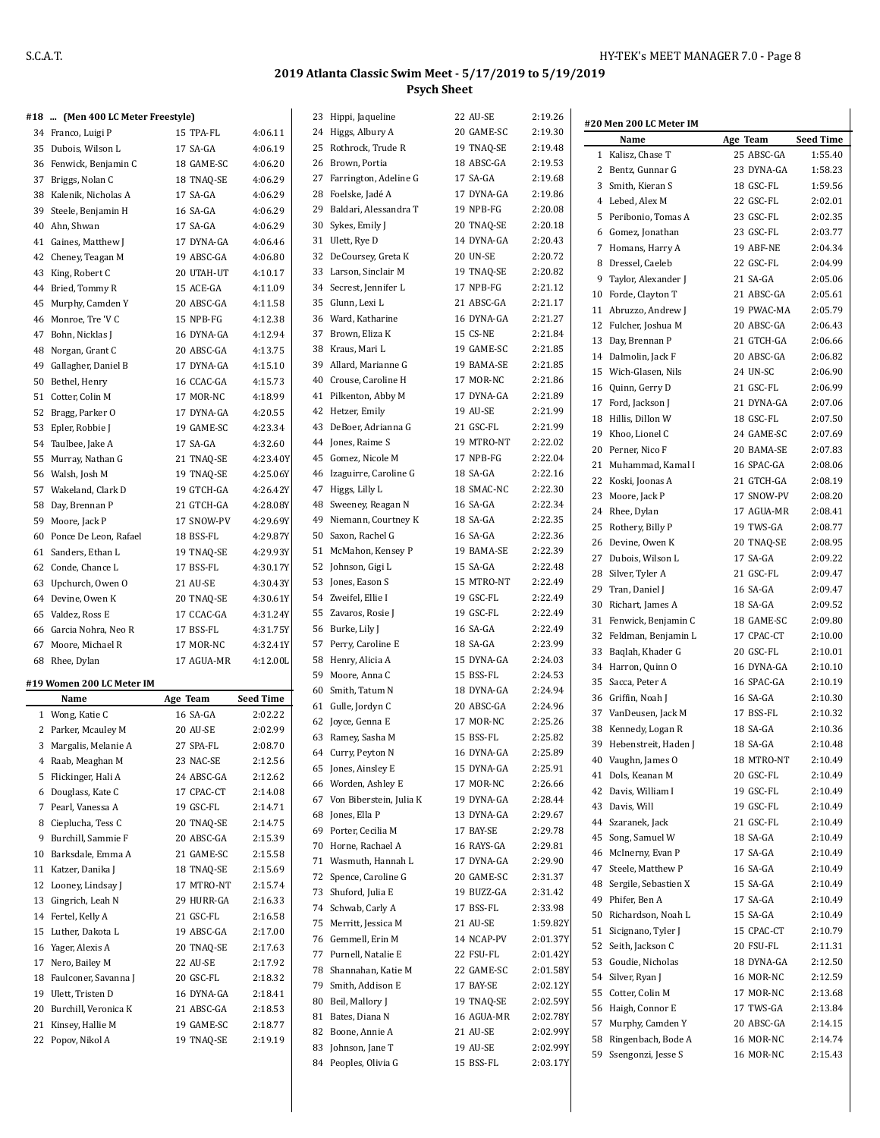| #18 … | (Men 400 LC Meter Freestyle) |            |                  |    | 23 Hippi, Jaqueline        | 22 AU-SE        | 2:19.26  | #20 Men 200 LC Meter IM |            |                  |
|-------|------------------------------|------------|------------------|----|----------------------------|-----------------|----------|-------------------------|------------|------------------|
|       | 34 Franco, Luigi P           | 15 TPA-FL  | 4:06.11          |    | 24 Higgs, Albury A         | 20 GAME-SC      | 2:19.30  | Name                    | Age Team   | <b>Seed Time</b> |
|       | 35 Dubois, Wilson L          | 17 SA-GA   | 4:06.19          |    | 25 Rothrock, Trude R       | 19 TNAQ-SE      | 2:19.48  | 1 Kalisz, Chase T       | 25 ABSC-GA | 1:55.40          |
|       | 36 Fenwick, Benjamin C       | 18 GAME-SC | 4:06.20          |    | 26 Brown, Portia           | 18 ABSC-GA      | 2:19.53  | 2 Bentz, Gunnar G       | 23 DYNA-GA | 1:58.23          |
|       | 37 Briggs, Nolan C           | 18 TNAQ-SE | 4:06.29          |    | 27 Farrington, Adeline G   | 17 SA-GA        | 2:19.68  | 3 Smith, Kieran S       | 18 GSC-FL  | 1:59.56          |
|       | 38 Kalenik, Nicholas A       | 17 SA-GA   | 4:06.29          | 28 | Foelske, Jadé A            | 17 DYNA-GA      | 2:19.86  | 4 Lebed, Alex M         | 22 GSC-FL  | 2:02.01          |
|       | 39 Steele, Benjamin H        | 16 SA-GA   | 4:06.29          |    | 29 Baldari, Alessandra T   | 19 NPB-FG       | 2:20.08  |                         |            | 2:02.35          |
|       | 40 Ahn, Shwan                | 17 SA-GA   | 4:06.29          |    | 30 Sykes, Emily J          | 20 TNAQ-SE      | 2:20.18  | 5 Peribonio, Tomas A    | 23 GSC-FL  |                  |
|       | 41 Gaines, Matthew J         | 17 DYNA-GA | 4:06.46          |    | 31 Ulett, Rye D            | 14 DYNA-GA      | 2:20.43  | 6 Gomez, Jonathan       | 23 GSC-FL  | 2:03.77          |
|       | 42 Cheney, Teagan M          | 19 ABSC-GA | 4:06.80          |    | 32 DeCoursey, Greta K      | <b>20 UN-SE</b> | 2:20.72  | 7 Homans, Harry A       | 19 ABF-NE  | 2:04.34          |
|       | 43 King, Robert C            | 20 UTAH-UT | 4:10.17          |    | 33 Larson, Sinclair M      | 19 TNAQ-SE      | 2:20.82  | 8 Dressel, Caeleb       | 22 GSC-FL  | 2:04.99          |
|       | 44 Bried, Tommy R            | 15 ACE-GA  | 4:11.09          |    | 34 Secrest, Jennifer L     | 17 NPB-FG       | 2:21.12  | 9 Taylor, Alexander J   | 21 SA-GA   | 2:05.06          |
|       | 45 Murphy, Camden Y          | 20 ABSC-GA | 4:11.58          |    | 35 Glunn, Lexi L           | 21 ABSC-GA      | 2:21.17  | 10 Forde, Clayton T     | 21 ABSC-GA | 2:05.61          |
|       | 46 Monroe, Tre 'V C          | 15 NPB-FG  | 4:12.38          |    | 36 Ward, Katharine         | 16 DYNA-GA      | 2:21.27  | 11 Abruzzo, Andrew J    | 19 PWAC-MA | 2:05.79          |
|       | 47 Bohn, Nicklas J           | 16 DYNA-GA | 4:12.94          |    | 37 Brown, Eliza K          | 15 CS-NE        | 2:21.84  | 12 Fulcher, Joshua M    | 20 ABSC-GA | 2:06.43          |
|       | 48 Norgan, Grant C           | 20 ABSC-GA | 4:13.75          |    | 38 Kraus, Mari L           | 19 GAME-SC      | 2:21.85  | 13 Day, Brennan P       | 21 GTCH-GA | 2:06.66          |
|       | 49 Gallagher, Daniel B       | 17 DYNA-GA | 4:15.10          |    | 39 Allard, Marianne G      | 19 BAMA-SE      | 2:21.85  | 14 Dalmolin, Jack F     | 20 ABSC-GA | 2:06.82          |
|       | 50 Bethel, Henry             | 16 CCAC-GA | 4:15.73          |    | 40 Crouse, Caroline H      | 17 MOR-NC       | 2:21.86  | 15 Wich-Glasen, Nils    | 24 UN-SC   | 2:06.90          |
|       | 51 Cotter, Colin M           | 17 MOR-NC  | 4:18.99          |    | 41 Pilkenton, Abby M       | 17 DYNA-GA      | 2:21.89  | 16 Quinn, Gerry D       | 21 GSC-FL  | 2:06.99          |
|       | 52 Bragg, Parker O           | 17 DYNA-GA | 4:20.55          |    | 42 Hetzer, Emily           | 19 AU-SE        | 2:21.99  | 17 Ford, Jackson J      | 21 DYNA-GA | 2:07.06          |
|       | 53 Epler, Robbie J           | 19 GAME-SC | 4:23.34          |    | 43 DeBoer, Adrianna G      | 21 GSC-FL       | 2:21.99  | 18 Hillis, Dillon W     | 18 GSC-FL  | 2:07.50          |
|       | 54 Taulbee, Jake A           | 17 SA-GA   | 4:32.60          |    | 44 Jones, Raime S          | 19 MTRO-NT      | 2:22.02  | 19 Khoo, Lionel C       | 24 GAME-SC | 2:07.69          |
|       |                              |            | 4:23.40Y         |    | 45 Gomez, Nicole M         | 17 NPB-FG       | 2:22.04  | 20 Perner, Nico F       | 20 BAMA-SE | 2:07.83          |
|       | 55 Murray, Nathan G          | 21 TNAQ-SE |                  |    | 46 Izaguirre, Caroline G   | 18 SA-GA        | 2:22.16  | 21 Muhammad, Kamal I    | 16 SPAC-GA | 2:08.06          |
|       | 56 Walsh, Josh M             | 19 TNAQ-SE | 4:25.06Y         |    |                            |                 |          | 22 Koski, Joonas A      | 21 GTCH-GA | 2:08.19          |
|       | 57 Wakeland, Clark D         | 19 GTCH-GA | 4:26.42Y         |    | 47 Higgs, Lilly L          | 18 SMAC-NC      | 2:22.30  | 23 Moore, Jack P        | 17 SNOW-PV | 2:08.20          |
|       | 58 Day, Brennan P            | 21 GTCH-GA | 4:28.08Y         |    | 48 Sweeney, Reagan N       | 16 SA-GA        | 2:22.34  | 24 Rhee, Dylan          | 17 AGUA-MR | 2:08.41          |
|       | 59 Moore, Jack P             | 17 SNOW-PV | 4:29.69Y         |    | 49 Niemann, Courtney K     | 18 SA-GA        | 2:22.35  | 25 Rothery, Billy P     | 19 TWS-GA  | 2:08.77          |
|       | 60 Ponce De Leon, Rafael     | 18 BSS-FL  | 4:29.87Y         |    | 50 Saxon, Rachel G         | 16 SA-GA        | 2:22.36  | 26 Devine, Owen K       | 20 TNAQ-SE | 2:08.95          |
|       | 61 Sanders, Ethan L          | 19 TNAQ-SE | 4:29.93Y         |    | 51 McMahon, Kensey P       | 19 BAMA-SE      | 2:22.39  | 27 Dubois, Wilson L     | 17 SA-GA   | 2:09.22          |
|       | 62 Conde, Chance L           | 17 BSS-FL  | 4:30.17Y         |    | 52 Johnson, Gigi L         | 15 SA-GA        | 2:22.48  | 28 Silver, Tyler A      | 21 GSC-FL  | 2:09.47          |
|       | 63 Upchurch, Owen O          | 21 AU-SE   | 4:30.43Y         |    | 53 Jones, Eason S          | 15 MTRO-NT      | 2:22.49  | 29 Tran, Daniel J       | 16 SA-GA   | 2:09.47          |
|       | 64 Devine, Owen K            | 20 TNAQ-SE | 4:30.61Y         |    | 54 Zweifel, Ellie I        | 19 GSC-FL       | 2:22.49  | 30 Richart, James A     | 18 SA-GA   | 2:09.52          |
|       | 65 Valdez, Ross E            | 17 CCAC-GA | 4:31.24Y         |    | 55 Zavaros, Rosie J        | 19 GSC-FL       | 2:22.49  | 31 Fenwick, Benjamin C  | 18 GAME-SC | 2:09.80          |
|       | 66 Garcia Nohra, Neo R       | 17 BSS-FL  | 4:31.75Y         |    | 56 Burke, Lily J           | 16 SA-GA        | 2:22.49  | 32 Feldman, Benjamin L  | 17 CPAC-CT | 2:10.00          |
|       | 67 Moore, Michael R          | 17 MOR-NC  | 4:32.41Y         |    | 57 Perry, Caroline E       | 18 SA-GA        | 2:23.99  | 33 Baqlah, Khader G     | 20 GSC-FL  | 2:10.01          |
|       | 68 Rhee, Dylan               | 17 AGUA-MR | 4:12.00L         |    | 58 Henry, Alicia A         | 15 DYNA-GA      | 2:24.03  | 34 Harron, Quinn O      | 16 DYNA-GA | 2:10.10          |
|       | #19 Women 200 LC Meter IM    |            |                  |    | 59 Moore, Anna C           | 15 BSS-FL       | 2:24.53  | 35 Sacca, Peter A       | 16 SPAC-GA | 2:10.19          |
|       | Name                         | Age Team   | <b>Seed Time</b> |    | 60 Smith, Tatum N          | 18 DYNA-GA      | 2:24.94  | 36 Griffin, Noah J      | 16 SA-GA   | 2:10.30          |
|       | 1 Wong, Katie C              | 16 SA-GA   | 2:02.22          |    | 61 Gulle, Jordyn C         | 20 ABSC-GA      | 2:24.96  | 37 VanDeusen, Jack M    | 17 BSS-FL  | 2:10.32          |
|       | 2 Parker, Mcauley M          | 20 AU-SE   | 2:02.99          |    | 62 Joyce, Genna E          | 17 MOR-NC       | 2:25.26  | 38 Kennedy, Logan R     | 18 SA-GA   | 2:10.36          |
|       | 3 Margalis, Melanie A        | 27 SPA-FL  | 2:08.70          |    | 63 Ramey, Sasha M          | 15 BSS-FL       | 2:25.82  | 39 Hebenstreit, Haden J | 18 SA-GA   | 2:10.48          |
|       | 4 Raab, Meaghan M            | 23 NAC-SE  | 2:12.56          |    | 64 Curry, Peyton N         | 16 DYNA-GA      | 2:25.89  | 40 Vaughn, James O      | 18 MTRO-NT | 2:10.49          |
|       | 5 Flickinger, Hali A         | 24 ABSC-GA | 2:12.62          |    | 65 Jones, Ainsley E        | 15 DYNA-GA      | 2:25.91  | 41 Dols, Keanan M       | 20 GSC-FL  | 2:10.49          |
|       | 6 Douglass, Kate C           | 17 CPAC-CT | 2:14.08          |    | 66 Worden, Ashley E        | 17 MOR-NC       | 2:26.66  | 42 Davis, William I     | 19 GSC-FL  | 2:10.49          |
|       | 7 Pearl, Vanessa A           | 19 GSC-FL  | 2:14.71          |    | 67 Von Biberstein, Julia K | 19 DYNA-GA      | 2:28.44  | 43 Davis, Will          | 19 GSC-FL  | 2:10.49          |
|       | 8 Cieplucha, Tess C          | 20 TNAQ-SE | 2:14.75          |    | 68 Jones, Ella P           | 13 DYNA-GA      | 2:29.67  | 44 Szaranek, Jack       | 21 GSC-FL  | 2:10.49          |
|       | 9 Burchill, Sammie F         |            |                  |    | 69 Porter, Cecilia M       | 17 BAY-SE       | 2:29.78  | 45 Song, Samuel W       | 18 SA-GA   | 2:10.49          |
|       |                              | 20 ABSC-GA | 2:15.39          |    | 70 Horne, Rachael A        | 16 RAYS-GA      | 2:29.81  |                         |            |                  |
|       | 10 Barksdale, Emma A         | 21 GAME-SC | 2:15.58          |    | 71 Wasmuth, Hannah L       | 17 DYNA-GA      | 2:29.90  | 46 McInerny, Evan P     | 17 SA-GA   | 2:10.49          |
|       | 11 Katzer, Danika J          | 18 TNAQ-SE | 2:15.69          |    | 72 Spence, Caroline G      | 20 GAME-SC      | 2:31.37  | 47 Steele, Matthew P    | 16 SA-GA   | 2:10.49          |
|       | 12 Looney, Lindsay J         | 17 MTRO-NT | 2:15.74          |    | 73 Shuford, Julia E        | 19 BUZZ-GA      | 2:31.42  | 48 Sergile, Sebastien X | 15 SA-GA   | 2:10.49          |
|       | 13 Gingrich, Leah N          | 29 HURR-GA | 2:16.33          |    | 74 Schwab, Carly A         | 17 BSS-FL       | 2:33.98  | 49 Phifer, Ben A        | 17 SA-GA   | 2:10.49          |
|       | 14 Fertel, Kelly A           | 21 GSC-FL  | 2:16.58          |    | 75 Merritt, Jessica M      | 21 AU-SE        | 1:59.82Y | 50 Richardson, Noah L   | 15 SA-GA   | 2:10.49          |
|       | 15 Luther, Dakota L          | 19 ABSC-GA | 2:17.00          |    | 76 Gemmell, Erin M         | 14 NCAP-PV      | 2:01.37Y | 51 Sicignano, Tyler J   | 15 CPAC-CT | 2:10.79          |
|       | 16 Yager, Alexis A           | 20 TNAQ-SE | 2:17.63          |    | 77 Purnell, Natalie E      | 22 FSU-FL       | 2:01.42Y | 52 Seith, Jackson C     | 20 FSU-FL  | 2:11.31          |
|       | 17 Nero, Bailey M            | 22 AU-SE   | 2:17.92          |    | 78 Shannahan, Katie M      | 22 GAME-SC      | 2:01.58Y | 53 Goudie, Nicholas     | 18 DYNA-GA | 2:12.50          |
|       | 18 Faulconer, Savanna J      | 20 GSC-FL  | 2:18.32          |    | 79 Smith, Addison E        | 17 BAY-SE       | 2:02.12Y | 54 Silver, Ryan J       | 16 MOR-NC  | 2:12.59          |
|       | 19 Ulett, Tristen D          | 16 DYNA-GA | 2:18.41          |    | 80 Beil, Mallory J         | 19 TNAQ-SE      | 2:02.59Y | 55 Cotter, Colin M      | 17 MOR-NC  | 2:13.68          |
|       | 20 Burchill, Veronica K      | 21 ABSC-GA | 2:18.53          |    | 81 Bates, Diana N          | 16 AGUA-MR      | 2:02.78Y | 56 Haigh, Connor E      | 17 TWS-GA  | 2:13.84          |
|       | 21 Kinsey, Hallie M          | 19 GAME-SC | 2:18.77          |    | 82 Boone, Annie A          | 21 AU-SE        | 2:02.99Y | 57 Murphy, Camden Y     | 20 ABSC-GA | 2:14.15          |
|       | 22 Popov, Nikol A            | 19 TNAQ-SE | 2:19.19          | 83 | Johnson, Jane T            | 19 AU-SE        | 2:02.99Y | 58 Ringenbach, Bode A   | 16 MOR-NC  | 2:14.74          |
|       |                              |            |                  |    | 84 Peoples, Olivia G       | 15 BSS-FL       | 2:03.17Y | 59 Ssengonzi, Jesse S   | 16 MOR-NC  | 2:15.43          |
|       |                              |            |                  |    |                            |                 |          |                         |            |                  |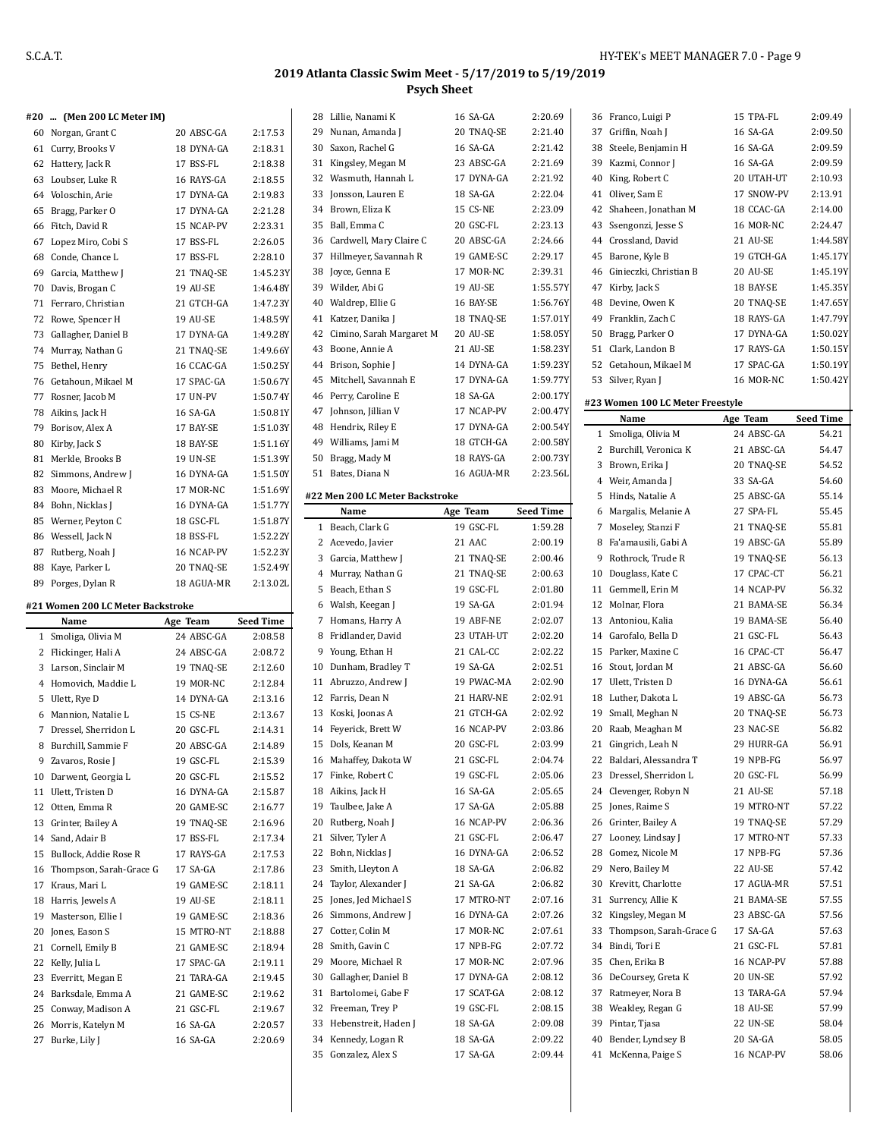#### **#20 ... (Men 200 LC Meter IM)**

| 17 A V | <i>pron 400 be moter may</i> |            |          |
|--------|------------------------------|------------|----------|
| 60     | Norgan, Grant C              | 20 ABSC-GA | 2:17.53  |
| 61     | Curry, Brooks V              | 18 DYNA-GA | 2:18.31  |
| 62     | Hattery, Jack R              | 17 BSS-FL  | 2:18.38  |
|        | 63 Loubser, Luke R           | 16 RAYS-GA | 2:18.55  |
| 64     | Voloschin, Arie              | 17 DYNA-GA | 2:19.83  |
| 65     | Bragg, Parker O              | 17 DYNA-GA | 2:21.28  |
| 66     | Fitch, David R               | 15 NCAP-PV | 2:23.31  |
| 67     | Lopez Miro, Cobi S           | 17 BSS-FL  | 2:26.05  |
| 68     | Conde, Chance L              | 17 BSS-FL  | 2:28.10  |
| 69     | Garcia, Matthew J            | 21 TNAQ-SE | 1:45.23Y |
| 70     | Davis, Brogan C              | 19 AU-SE   | 1:46.48Y |
| 71     | Ferraro, Christian           | 21 GTCH-GA | 1:47.23Y |
| 72     | Rowe, Spencer H              | 19 AU-SE   | 1:48.59Y |
| 73     | Gallagher, Daniel B          | 17 DYNA-GA | 1:49.28Y |
| 74     | Murray, Nathan G             | 21 TNAO-SE | 1:49.66Y |
| 75     | Bethel, Henry                | 16 CCAC-GA | 1:50.25Y |
| 76     | Getahoun, Mikael M           | 17 SPAC-GA | 1:50.67Y |
| 77     | Rosner, Jacob M              | 17 UN-PV   | 1:50.74Y |
| 78     | Aikins, Jack H               | 16 SA-GA   | 1:50.81Y |
| 79     | Borisov, Alex A              | 17 BAY-SE  | 1:51.03Y |
| 80     | Kirby, Jack S                | 18 BAY-SE  | 1:51.16Y |
| 81     | Merkle, Brooks B             | 19 UN-SE   | 1:51.39Y |
| 82     | Simmons, Andrew J            | 16 DYNA-GA | 1:51.50Y |
| 83     | Moore, Michael R             | 17 MOR-NC  | 1:51.69Y |
| 84     | Bohn, Nicklas J              | 16 DYNA-GA | 1:51.77Y |
| 85     | Werner, Peyton C             | 18 GSC-FL  | 1:51.87Y |
| 86     | Wessell, Jack N              | 18 BSS-FL  | 1:52.22Y |
| 87     | Rutberg, Noah J              | 16 NCAP-PV | 1:52.23Y |
| 88     | Kaye, Parker L               | 20 TNAO-SE | 1:52.49Y |
| 89     | Porges, Dylan R              | 18 AGUA-MR | 2:13.02L |

### **#21 Women 200 LC Meter Backstroke**

|              | Name                     | Age Team   | <b>Seed Time</b> |
|--------------|--------------------------|------------|------------------|
| 1            | Smoliga, Olivia M        | 24 ABSC-GA | 2:08.58          |
| $\mathbf{2}$ | Flickinger, Hali A       | 24 ABSC-GA | 2:08.72          |
| 3            | Larson, Sinclair M       | 19 TNAO-SE | 2:12.60          |
| 4            | Homovich, Maddie L       | 19 MOR-NC  | 2:12.84          |
| 5            | Ulett, Rye D             | 14 DYNA-GA | 2:13.16          |
| 6            | Mannion, Natalie L       | 15 CS-NE   | 2:13.67          |
| 7            | Dressel. Sherridon L     | 20 GSC-FL  | 2:14.31          |
| 8            | Burchill, Sammie F       | 20 ABSC-GA | 2:14.89          |
| 9            | Zavaros, Rosie J         | 19 GSC-FL  | 2:15.39          |
| 10           | Darwent, Georgia L       | 20 GSC-FL  | 2:15.52          |
| 11           | Ulett, Tristen D         | 16 DYNA-GA | 2:15.87          |
|              | 12 Otten, Emma R         | 20 GAME-SC | 2:16.77          |
| 13           | Grinter, Bailey A        | 19 TNAO-SE | 2:16.96          |
| 14           | Sand, Adair B            | 17 BSS-FL  | 2:17.34          |
|              | 15 Bullock, Addie Rose R | 17 RAYS-GA | 2:17.53          |
| 16           | Thompson, Sarah-Grace G  | 17 SA-GA   | 2:17.86          |
| 17           | Kraus, Mari L            | 19 GAME-SC | 2:18.11          |
| 18           | Harris, Jewels A         | 19 AU-SE   | 2:18.11          |
| 19           | Masterson, Ellie I       | 19 GAME-SC | 2:18.36          |
| 20           | Jones, Eason S           | 15 MTRO-NT | 2:18.88          |
| 21           | Cornell, Emily B         | 21 GAME-SC | 2:18.94          |
| 22           | Kelly, Julia L           | 17 SPAC-GA | 2:19.11          |
| 23           | Everritt, Megan E        | 21 TARA-GA | 2:19.45          |
| 24           | Barksdale, Emma A        | 21 GAME-SC | 2:19.62          |
| 25           | Conway, Madison A        | 21 GSC-FL  | 2:19.67          |
| 26           | Morris, Katelyn M        | 16 SA-GA   | 2:20.57          |
| 27           | Burke, Lily J            | 16 SA-GA   | 2:20.69          |

|          | 28 Lillie, Nanami K                  | 16 SA-GA             | 2:20.69            |
|----------|--------------------------------------|----------------------|--------------------|
| 29       | Nunan, Amanda J                      | 20 TNAQ-SE           | 2:21.40            |
|          | 30 Saxon, Rachel G                   | 16 SA-GA             | 2:21.42            |
| 31       | Kingsley, Megan M                    | 23 ABSC-GA           | 2:21.69            |
| 32       | Wasmuth, Hannah L                    | 17 DYNA-GA           | 2:21.92            |
| 33       | Jonsson, Lauren E                    | 18 SA-GA             | 2:22.04            |
| 34       | Brown, Eliza K                       | <b>15 CS-NE</b>      | 2:23.09            |
| 35       | Ball, Emma C                         | 20 GSC-FL            | 2:23.13            |
|          | 36 Cardwell, Mary Claire C           | 20 ABSC-GA           | 2:24.66            |
| 37       | Hillmeyer, Savannah R                | 19 GAME-SC           | 2:29.17            |
| 38       | Joyce, Genna E                       | 17 MOR-NC            | 2:39.31            |
|          | 39 Wilder, Abi G                     | 19 AU-SE             | 1:55.57Y           |
|          | Waldrep, Ellie G                     |                      |                    |
| 40       |                                      | 16 BAY-SE            | 1:56.76Y           |
| 41       | Katzer, Danika J                     | 18 TNAQ-SE           | 1:57.01Y           |
| 42       | Cimino, Sarah Margaret M             | 20 AU-SE             | 1:58.05Y           |
| 43       | Boone, Annie A                       | 21 AU-SE             | 1:58.23Y           |
| 44       | Brison, Sophie J                     | 14 DYNA-GA           | 1:59.23Y           |
| 45       | Mitchell, Savannah E                 | 17 DYNA-GA           | 1:59.77Y           |
| 46       | Perry, Caroline E                    | 18 SA-GA             | 2:00.17Y           |
| 47       | Johnson, Jillian V                   | 17 NCAP-PV           | 2:00.47Y           |
|          | 48 Hendrix, Riley E                  | 17 DYNA-GA           | 2:00.54Y           |
|          | 49 Williams, Jami M                  | 18 GTCH-GA           | 2:00.58Y           |
| 50       | Bragg, Mady M                        | 18 RAYS-GA           | 2:00.73Y           |
|          | 51 Bates, Diana N                    | 16 AGUA-MR           | 2:23.56L           |
|          | #22 Men 200 LC Meter Backstroke      |                      |                    |
|          | Name                                 | Age Team             | <b>Seed Time</b>   |
| 1        | Beach, Clark G                       | 19 GSC-FL            | 1:59.28            |
|          | 2 Acevedo, Javier                    | 21 AAC               | 2:00.19            |
|          | 3 Garcia, Matthew J                  | 21 TNAQ-SE           | 2:00.46            |
|          | 4 Murray, Nathan G                   | 21 TNAQ-SE           | 2:00.63            |
| 5        |                                      | 19 GSC-FL            |                    |
|          | Beach, Ethan S                       |                      | 2:01.80            |
|          | 6 Walsh, Keegan J                    | 19 SA-GA             | 2:01.94            |
| 7        | Homans, Harry A                      | 19 ABF-NE            | 2:02.07            |
| 8        | Fridlander, David                    | 23 UTAH-UT           | 2:02.20            |
|          | 9 Young, Ethan H                     | 21 CAL-CC            | 2:02.22            |
| 10       | Dunham, Bradley T                    | 19 SA-GA             | 2:02.51            |
|          | 11 Abruzzo, Andrew J                 | 19 PWAC-MA           | 2:02.90            |
|          | 12 Farris, Dean N                    | 21 HARV-NE           | 2:02.91            |
| 13       | Koski, Joonas A                      | 21 GTCH-GA           | 2:02.92            |
|          | 14 Feyerick, Brett W                 | 16 NCAP-PV           | 2:03.86            |
| 15       | Dols, Keanan M                       | 20 GSC-FL            | 2:03.99            |
| 16       | Mahaffey, Dakota W                   | 21 GSC-FL            | 2:04.74            |
| 17       | Finke, Robert C                      | 19 GSC-FL            | 2:05.06            |
| 18       | Aikins, Jack H                       | 16 SA-GA             | 2:05.65            |
| 19       | Taulbee, Jake A                      | 17 SA-GA             | 2:05.88            |
| 20       | Rutberg, Noah J                      | 16 NCAP-PV           | 2:06.36            |
| 21       | Silver, Tyler A                      | 21 GSC-FL            | 2:06.47            |
| 22       | Bohn, Nicklas J                      | 16 DYNA-GA           | 2:06.52            |
| 23       | Smith, Lleyton A                     | 18 SA-GA             | 2:06.82            |
| 24       | Taylor, Alexander J                  | 21 SA-GA             | 2:06.82            |
| 25       | Jones, Jed Michael S                 | 17 MTRO-NT           | 2:07.16            |
| 26       | Simmons, Andrew J                    | 16 DYNA-GA           | 2:07.26            |
| 27       | Cotter, Colin M                      | 17 MOR-NC            | 2:07.61            |
| 28       | Smith, Gavin C                       | 17 NPB-FG            | 2:07.72            |
| 29       | Moore, Michael R                     | 17 MOR-NC            | 2:07.96            |
| 30       | Gallagher, Daniel B                  | 17 DYNA-GA           | 2:08.12            |
| 31       |                                      |                      |                    |
|          |                                      |                      |                    |
|          | Bartolomei, Gabe F                   | 17 SCAT-GA           | 2:08.12            |
| 32       | Freeman, Trey P                      | 19 GSC-FL            | 2:08.15            |
| 33       | Hebenstreit, Haden J                 | 18 SA-GA             | 2:09.08            |
| 34<br>35 | Kennedy, Logan R<br>Gonzalez, Alex S | 18 SA-GA<br>17 SA-GA | 2:09.22<br>2:09.44 |

| 36       | Franco, Luigi P                           | 15 TPA-FL  | 2:09.49              |
|----------|-------------------------------------------|------------|----------------------|
| 37       | Griffin, Noah J                           | 16 SA-GA   | 2:09.50              |
|          | 38 Steele, Benjamin H                     | 16 SA-GA   | 2:09.59              |
|          | 39 Kazmi, Connor J                        | 16 SA-GA   | 2:09.59              |
|          | 40 King, Robert C                         | 20 UTAH-UT | 2:10.93              |
| 41       | Oliver, Sam E                             | 17 SNOW-PV | 2:13.91              |
| 42       | Shaheen, Jonathan M                       | 18 CCAC-GA | 2:14.00              |
| 43       | Ssengonzi, Jesse S                        | 16 MOR-NC  | 2:24.47              |
|          | 44 Crossland, David                       | 21 AU-SE   | 1:44.58Y             |
| 45       | Barone, Kyle B                            | 19 GTCH-GA | 1:45.17Y             |
|          |                                           | 20 AU-SE   |                      |
| 46<br>47 | Ginieczki, Christian B<br>Kirby, Jack S   | 18 BAY-SE  | 1:45.19Y             |
|          |                                           |            | 1:45.35Y<br>1:47.65Y |
| 48       | Devine, Owen K                            | 20 TNAO-SE |                      |
|          | 49 Franklin, Zach C                       | 18 RAYS-GA | 1:47.79Y             |
|          | 50 Bragg, Parker O                        | 17 DYNA-GA | 1:50.02Y             |
|          | 51 Clark, Landon B                        | 17 RAYS-GA | 1:50.15Y             |
|          | 52 Getahoun, Mikael M                     | 17 SPAC-GA | 1:50.19Y             |
| 53       | Silver, Ryan J                            | 16 MOR-NC  | 1:50.42Y             |
|          | #23 Women 100 LC Meter Freestyle          |            |                      |
|          | Name                                      | Age Team   | <b>Seed Time</b>     |
| 1        | Smoliga, Olivia M                         | 24 ABSC-GA | 54.21                |
|          | 2 Burchill, Veronica K                    | 21 ABSC-GA | 54.47                |
|          | 3 Brown, Erika J                          | 20 TNAQ-SE | 54.52                |
|          | 4 Weir, Amanda J                          | 33 SA-GA   | 54.60                |
| 5        | Hinds, Natalie A                          | 25 ABSC-GA | 55.14                |
|          | 6 Margalis, Melanie A                     | 27 SPA-FL  | 55.45                |
|          | 7 Moseley, Stanzi F                       | 21 TNAQ-SE | 55.81                |
| 8        | Fa'amausili, Gabi A                       | 19 ABSC-GA | 55.89                |
| 9        | Rothrock, Trude R                         | 19 TNAQ-SE | 56.13                |
| 10       | Douglass, Kate C                          | 17 CPAC-CT | 56.21                |
| 11       | Gemmell, Erin M                           | 14 NCAP-PV | 56.32                |
|          | 12 Molnar, Flora                          | 21 BAMA-SE | 56.34                |
| 13       | Antoniou, Kalia                           | 19 BAMA-SE | 56.40                |
|          | 14 Garofalo, Bella D                      | 21 GSC-FL  | 56.43                |
| 15       | Parker, Maxine C                          | 16 CPAC-CT | 56.47                |
|          |                                           | 21 ABSC-GA | 56.60                |
|          | 16 Stout, Jordan M<br>17 Ulett, Tristen D | 16 DYNA-GA |                      |
|          |                                           |            | 56.61                |
|          | 18 Luther, Dakota L                       | 19 ABSC-GA | 56.73                |
|          | 19 Small, Meghan N                        | 20 TNAQ-SE | 56.73                |
| 20       | Raab, Meaghan M                           | 23 NAC-SE  | 56.82                |
|          | 21 Gingrich, Leah N                       | 29 HURR-GA | 56.91                |
| 22       | Baldari, Alessandra T                     | 19 NPB-FG  | 56.97                |
| 23       | Dressel, Sherridon L                      | 20 GSC-FL  | 56.99                |
| 24       | Clevenger, Robyn N                        | 21 AU-SE   | 57.18                |
| 25       | Jones, Raime S                            | 19 MTRO-NT | 57.22                |
| 26       | Grinter, Bailey A                         | 19 TNAQ-SE | 57.29                |
| 27       | Looney, Lindsay J                         | 17 MTRO-NT | 57.33                |
| 28       | Gomez, Nicole M                           | 17 NPB-FG  | 57.36                |
| 29       | Nero, Bailey M                            | 22 AU-SE   | 57.42                |
| 30       | Krevitt, Charlotte                        | 17 AGUA-MR | 57.51                |
| 31       | Surrency, Allie K                         | 21 BAMA-SE | 57.55                |
| 32       | Kingsley, Megan M                         | 23 ABSC-GA | 57.56                |
| 33       | Thompson, Sarah-Grace G                   | 17 SA-GA   | 57.63                |
| 34       | Bindi, Tori E                             | 21 GSC-FL  | 57.81                |
| 35       | Chen, Erika B                             | 16 NCAP-PV | 57.88                |
| 36       | DeCoursey, Greta K                        | 20 UN-SE   | 57.92                |
| 37       | Ratmeyer, Nora B                          | 13 TARA-GA | 57.94                |
|          | 38 Weakley, Regan G                       | 18 AU-SE   | 57.99                |
| 39       | Pintar, Tjasa                             | 22 UN-SE   | 58.04                |
| 40       | Bender, Lyndsey B                         | 20 SA-GA   | 58.05                |
| 41       | McKenna, Paige S                          | 16 NCAP-PV | 58.06                |

L.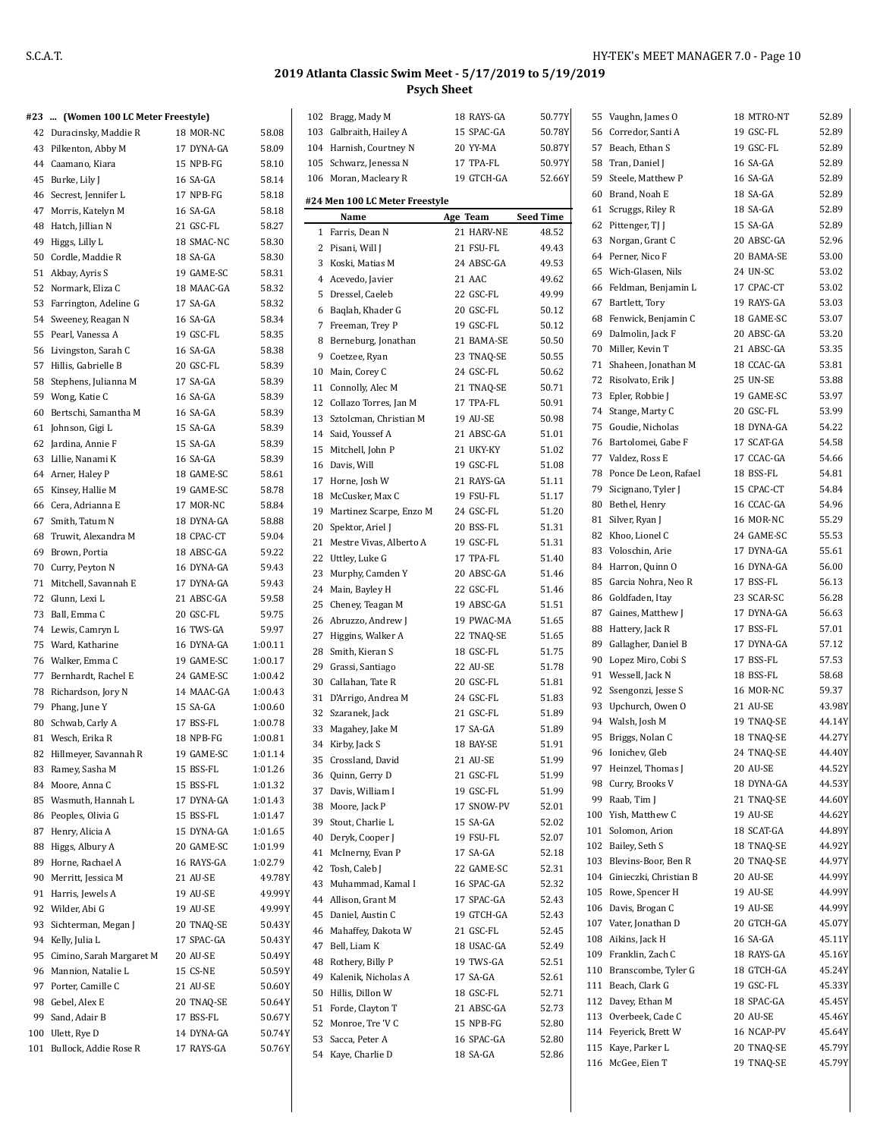### **#23 ... (Women 100 LC Meter Freestyle)**

|          | 23  (women too la meter freestyle) |            |                  |
|----------|------------------------------------|------------|------------------|
|          | 42 Duracinsky, Maddie R            | 18 MOR-NC  | 58.08            |
| 43       | Pilkenton, Abby M                  | 17 DYNA-GA | 58.09            |
|          | 44 Caamano, Kiara                  | 15 NPB-FG  | 58.10            |
|          | 45 Burke, Lily J                   | 16 SA-GA   | 58.14            |
|          | 46 Secrest, Jennifer L             | 17 NPB-FG  | 58.18            |
|          | 47 Morris, Katelyn M               | 16 SA-GA   | 58.18            |
|          | 48 Hatch, Jillian N                | 21 GSC-FL  | 58.27            |
|          | 49 Higgs, Lilly L                  | 18 SMAC-NC | 58.30            |
|          | 50 Cordle, Maddie R                | 18 SA-GA   | 58.30            |
|          | 51 Akbay, Ayris S                  | 19 GAME-SC | 58.31            |
|          | 52 Normark, Eliza C                | 18 MAAC-GA | 58.32            |
|          |                                    | 17 SA-GA   |                  |
|          | 53 Farrington, Adeline G           | 16 SA-GA   | 58.32            |
|          | 54 Sweeney, Reagan N               |            | 58.34            |
|          | 55 Pearl, Vanessa A                | 19 GSC-FL  | 58.35            |
|          | 56 Livingston, Sarah C             | 16 SA-GA   | 58.38            |
|          | 57 Hillis, Gabrielle B             | 20 GSC-FL  | 58.39            |
|          | 58 Stephens, Julianna M            | 17 SA-GA   | 58.39            |
|          | 59 Wong, Katie C                   | 16 SA-GA   | 58.39            |
|          | 60 Bertschi, Samantha M            | 16 SA-GA   | 58.39            |
|          | 61 Johnson, Gigi L                 | 15 SA-GA   | 58.39            |
|          | 62 Jardina, Annie F                | 15 SA-GA   | 58.39            |
|          | 63 Lillie, Nanami K                | 16 SA-GA   | 58.39            |
|          | 64 Arner, Haley P                  | 18 GAME-SC | 58.61            |
|          | 65 Kinsey, Hallie M                | 19 GAME-SC | 58.78            |
|          | 66 Cera, Adrianna E                | 17 MOR-NC  | 58.84            |
| 67       | Smith, Tatum N                     | 18 DYNA-GA | 58.88            |
| 68       | Truwit, Alexandra M                | 18 CPAC-CT | 59.04            |
|          | 69 Brown, Portia                   | 18 ABSC-GA | 59.22            |
|          | 70 Curry, Peyton N                 | 16 DYNA-GA | 59.43            |
| 71       | Mitchell, Savannah E               | 17 DYNA-GA | 59.43            |
|          | 72 Glunn, Lexi L                   | 21 ABSC-GA | 59.58            |
| 73       | Ball, Emma C                       | 20 GSC-FL  | 59.75            |
|          | 74 Lewis, Camryn L                 | 16 TWS-GA  | 59.97            |
|          | 75 Ward, Katharine                 | 16 DYNA-GA | 1:00.11          |
|          | 76 Walker, Emma C                  | 19 GAME-SC | 1:00.17          |
| 77       | Bernhardt, Rachel E                | 24 GAME-SC | 1:00.42          |
| 78       | Richardson, Jory N                 | 14 MAAC-GA | 1:00.43          |
|          | 79 Phang, June Y                   | 15 SA-GA   | 1:00.60          |
|          | 80 Schwab, Carly A                 | 17 BSS-FL  | 1:00.78          |
|          | 81 Wesch, Erika R                  | 18 NPB-FG  | 1:00.81          |
| 82       | Hillmeyer, Savannah R              | 19 GAME-SC | 1:01.14          |
| 83       | Ramey, Sasha M                     | 15 BSS-FL  | 1:01.26          |
|          | 84 Moore, Anna C                   | 15 BSS-FL  | 1:01.32          |
|          | 85 Wasmuth, Hannah L               | 17 DYNA-GA | 1:01.43          |
| 86       | Peoples, Olivia G                  | 15 BSS-FL  | 1:01.47          |
| 87       | Henry, Alicia A                    | 15 DYNA-GA | 1:01.65          |
| 88       | Higgs, Albury A                    | 20 GAME-SC | 1:01.99          |
| 89       | Horne, Rachael A                   | 16 RAYS-GA | 1:02.79          |
|          | 90 Merritt, Jessica M              | 21 AU-SE   | 49.78Y           |
|          |                                    |            |                  |
| 91<br>92 | Harris, Jewels A                   | 19 AU-SE   | 49.99Y<br>49.99Y |
|          | Wilder, Abi G                      | 19 AU-SE   |                  |
| 93       | Sichterman, Megan J                | 20 TNAQ-SE | 50.43Y           |
| 94       | Kelly, Julia L                     | 17 SPAC-GA | 50.43Y           |
| 95       | Cimino, Sarah Margaret M           | 20 AU-SE   | 50.49Y           |
| 96       | Mannion, Natalie L                 | 15 CS-NE   | 50.59Y           |
| 97       | Porter, Camille C                  | 21 AU-SE   | 50.60Y           |
| 98       | Gebel, Alex E                      | 20 TNAQ-SE | 50.64Y           |
| 99       | Sand, Adair B                      | 17 BSS-FL  | 50.67Y           |
| 100      | Ulett, Rye D                       | 14 DYNA-GA | 50.74Y           |
| 101      | Bullock, Addie Rose R              | 17 RAYS-GA | 50.76Y           |

|    | 102 Bragg, Mady M              | 18 RAYS-GA             | 50.77Y                    |
|----|--------------------------------|------------------------|---------------------------|
|    | 103 Galbraith, Hailey A        | 15 SPAC-GA             | 50.78Y                    |
|    | 104 Harnish, Courtney N        | 20 YY-MA               | 50.87Y                    |
|    | 105 Schwarz, Jenessa N         | 17 TPA-FL              | 50.97Y                    |
|    | 106 Moran, Macleary R          | 19 GTCH-GA             | 52.66Y                    |
|    |                                |                        |                           |
|    | #24 Men 100 LC Meter Freestyle |                        |                           |
| 1  | Name<br>Farris, Dean N         | Age Team<br>21 HARV-NE | <b>Seed Time</b><br>48.52 |
| 2  | Pisani, Will J                 | 21 FSU-FL              | 49.43                     |
|    | 3 Koski, Matias M              | 24 ABSC-GA             | 49.53                     |
|    | 4 Acevedo, Javier              | 21 AAC                 | 49.62                     |
|    | 5 Dressel, Caeleb              | 22 GSC-FL              | 49.99                     |
| 6  | Baqlah, Khader G               | 20 GSC-FL              | 50.12                     |
| 7  | Freeman, Trey P                | 19 GSC-FL              | 50.12                     |
| 8  | Berneburg, Jonathan            | 21 BAMA-SE             | 50.50                     |
|    | 9 Coetzee, Ryan                | 23 TNAQ-SE             | 50.55                     |
|    | 10 Main, Corey C               | 24 GSC-FL              | 50.62                     |
|    | 11 Connolly, Alec M            | 21 TNAO-SE             | 50.71                     |
|    | 12 Collazo Torres, Jan M       | 17 TPA-FL              | 50.91                     |
| 13 | Sztolcman, Christian M         | 19 AU-SE               | 50.98                     |
|    | 14 Said. Youssef A             | 21 ABSC-GA             | 51.01                     |
|    | 15 Mitchell, John P            | 21 UKY-KY              | 51.02                     |
|    | 16 Davis, Will                 | 19 GSC-FL              | 51.08                     |
|    | 17 Horne, Josh W               | 21 RAYS-GA             | 51.11                     |
| 18 | McCusker, Max C                | 19 FSU-FL              | 51.17                     |
|    | 19 Martinez Scarpe, Enzo M     | 24 GSC-FL              | 51.20                     |
|    | 20 Spektor, Ariel J            | 20 BSS-FL              | 51.31                     |
| 21 | Mestre Vivas, Alberto A        | 19 GSC-FL              | 51.31                     |
| 22 | Uttley, Luke G                 | 17 TPA-FL              | 51.40                     |
| 23 | Murphy, Camden Y               | 20 ABSC-GA             | 51.46                     |
|    | 24 Main, Bayley H              | 22 GSC-FL              | 51.46                     |
|    | 25 Cheney, Teagan M            | 19 ABSC-GA             | 51.51                     |
|    | 26 Abruzzo, Andrew J           | 19 PWAC-MA             | 51.65                     |
|    | 27 Higgins, Walker A           | 22 TNAQ-SE             | 51.65                     |
|    | 28 Smith, Kieran S             | 18 GSC-FL              | 51.75                     |
|    | 29 Grassi, Santiago            | 22 AU-SE               | 51.78                     |
|    | 30 Callahan, Tate R            | 20 GSC-FL              | 51.81                     |
| 31 | D'Arrigo, Andrea M             | 24 GSC-FL              | 51.83                     |
| 32 | Szaranek, Jack                 | 21 GSC-FL              | 51.89                     |
| 33 | Magahey, Jake M                | 17 SA-GA               | 51.89                     |
| 34 | Kirby, Jack S                  | 18 BAY-SE              | 51.91                     |
| 35 | Crossland, David               | 21 AU-SE               | 51.99                     |
| 36 | Quinn, Gerry D                 | 21 GSC-FL              | 51.99                     |
| 37 | Davis, William I               | 19 GSC-FL              | 51.99                     |
| 38 | Moore, Jack P                  | 17 SNOW-PV             | 52.01                     |
| 39 | Stout, Charlie L               | 15 SA-GA               | 52.02                     |
| 40 | Deryk, Cooper J                | 19 FSU-FL              | 52.07                     |
| 41 | McInerny, Evan P               | 17 SA-GA               | 52.18                     |
| 42 | Tosh, Caleb J                  | 22 GAME-SC             | 52.31                     |
| 43 | Muhammad, Kamal I              | 16 SPAC-GA             | 52.32                     |
|    | 44 Allison, Grant M            | 17 SPAC-GA             | 52.43                     |
| 45 | Daniel, Austin C               | 19 GTCH-GA             | 52.43                     |
| 46 | Mahaffey, Dakota W             | 21 GSC-FL              | 52.45                     |
| 47 | Bell, Liam K                   | 18 USAC-GA             | 52.49                     |
| 48 | Rothery, Billy P               | 19 TWS-GA              | 52.51                     |
| 49 | Kalenik, Nicholas A            | 17 SA-GA               | 52.61                     |
| 50 | Hillis, Dillon W               | 18 GSC-FL              | 52.71                     |
|    | 51 Forde, Clayton T            | 21 ABSC-GA             | 52.73                     |
|    | 52 Monroe, Tre 'V C            | 15 NPB-FG              | 52.80                     |
| 53 | Sacca, Peter A                 | 16 SPAC-GA             | 52.80                     |
|    | 54 Kaye, Charlie D             | 18 SA-GA               | 52.86                     |

| 55 | Vaughn, James O            | 18 MTRO-NT      | 52.89  |
|----|----------------------------|-----------------|--------|
|    | 56 Corredor, Santi A       | 19 GSC-FL       | 52.89  |
|    | 57 Beach, Ethan S          | 19 GSC-FL       | 52.89  |
| 58 | Tran, Daniel J             | 16 SA-GA        | 52.89  |
| 59 | Steele, Matthew P          | 16 SA-GA        | 52.89  |
| 60 | Brand, Noah E              | 18 SA-GA        | 52.89  |
| 61 | Scruggs, Riley R           | 18 SA-GA        | 52.89  |
| 62 | Pittenger, TJ J            | 15 SA-GA        | 52.89  |
| 63 | Norgan, Grant C            | 20 ABSC-GA      | 52.96  |
|    | 64 Perner, Nico F          | 20 BAMA-SE      | 53.00  |
| 65 | Wich-Glasen, Nils          | 24 UN-SC        | 53.02  |
| 66 | Feldman, Benjamin L        | 17 CPAC-CT      | 53.02  |
| 67 | Bartlett, Tory             | 19 RAYS-GA      | 53.03  |
| 68 | Fenwick, Benjamin C        | 18 GAME-SC      | 53.07  |
| 69 | Dalmolin, Jack F           | 20 ABSC-GA      | 53.20  |
| 70 | Miller, Kevin T            | 21 ABSC-GA      | 53.35  |
| 71 | Shaheen, Jonathan M        | 18 CCAC-GA      | 53.81  |
| 72 | Risolvato, Erik J          | <b>25 UN-SE</b> | 53.88  |
| 73 | Epler, Robbie J            | 19 GAME-SC      | 53.97  |
| 74 | Stange, Marty C            | 20 GSC-FL       | 53.99  |
| 75 | Goudie, Nicholas           | 18 DYNA-GA      | 54.22  |
| 76 | Bartolomei, Gabe F         | 17 SCAT-GA      | 54.58  |
| 77 | Valdez, Ross E             | 17 CCAC-GA      | 54.66  |
| 78 | Ponce De Leon, Rafael      | 18 BSS-FL       | 54.81  |
| 79 | Sicignano, Tyler J         | 15 CPAC-CT      | 54.84  |
| 80 | Bethel, Henry              | 16 CCAC-GA      | 54.96  |
| 81 | Silver, Ryan J             | 16 MOR-NC       | 55.29  |
| 82 | Khoo, Lionel C             | 24 GAME-SC      | 55.53  |
| 83 | Voloschin, Arie            | 17 DYNA-GA      | 55.61  |
| 84 | Harron, Quinn O            | 16 DYNA-GA      | 56.00  |
| 85 | Garcia Nohra, Neo R        | 17 BSS-FL       | 56.13  |
| 86 | Goldfaden, Itay            | 23 SCAR-SC      | 56.28  |
| 87 | Gaines, Matthew J          | 17 DYNA-GA      | 56.63  |
| 88 | Hattery, Jack R            | 17 BSS-FL       | 57.01  |
| 89 | Gallagher, Daniel B        | 17 DYNA-GA      | 57.12  |
| 90 | Lopez Miro, Cobi S         | 17 BSS-FL       | 57.53  |
| 91 | Wessell, Jack N            | 18 BSS-FL       | 58.68  |
| 92 | Ssengonzi, Jesse S         | 16 MOR-NC       | 59.37  |
| 93 | Upchurch, Owen O           | 21 AU-SE        | 43.98Y |
|    | 94 Walsh, Josh M           | 19 TNAQ-SE      | 44.14Y |
| 95 | Briggs, Nolan C            | 18 TNAQ-SE      | 44.27Y |
|    | 96 Ionichev. Gleb          | 24 TNAQ-SE      | 44.40Y |
|    | 97 Heinzel, Thomas J       | 20 AU-SE        | 44.52Y |
|    | 98 Curry, Brooks V         | 18 DYNA-GA      | 44.53Y |
|    | 99 Raab, Tim J             | 21 TNAQ-SE      | 44.60Y |
|    | 100 Yish, Matthew C        | 19 AU-SE        | 44.62Y |
|    | 101 Solomon, Arion         | 18 SCAT-GA      | 44.89Y |
|    | 102 Bailey, Seth S         | 18 TNAQ-SE      | 44.92Y |
|    | 103 Blevins-Boor, Ben R    | 20 TNAQ-SE      | 44.97Y |
|    | 104 Ginieczki, Christian B | 20 AU-SE        | 44.99Y |
|    | 105 Rowe, Spencer H        | 19 AU-SE        | 44.99Y |
|    | 106 Davis, Brogan C        | 19 AU-SE        | 44.99Y |
|    | 107 Vater, Jonathan D      | 20 GTCH-GA      | 45.07Y |
|    | 108 Aikins, Jack H         | 16 SA-GA        | 45.11Y |
|    | 109 Franklin, Zach C       | 18 RAYS-GA      | 45.16Y |
|    | 110 Branscombe, Tyler G    | 18 GTCH-GA      | 45.24Y |
|    | 111 Beach, Clark G         | 19 GSC-FL       | 45.33Y |
|    | 112 Davey, Ethan M         | 18 SPAC-GA      | 45.45Y |
|    | 113 Overbeek, Cade C       | 20 AU-SE        | 45.46Y |
|    | 114 Feyerick, Brett W      | 16 NCAP-PV      | 45.64Y |
|    | 115 Kaye, Parker L         | 20 TNAQ-SE      | 45.79Y |
|    | 116 McGee, Eien T          | 19 TNAQ-SE      | 45.79Y |
|    |                            |                 |        |